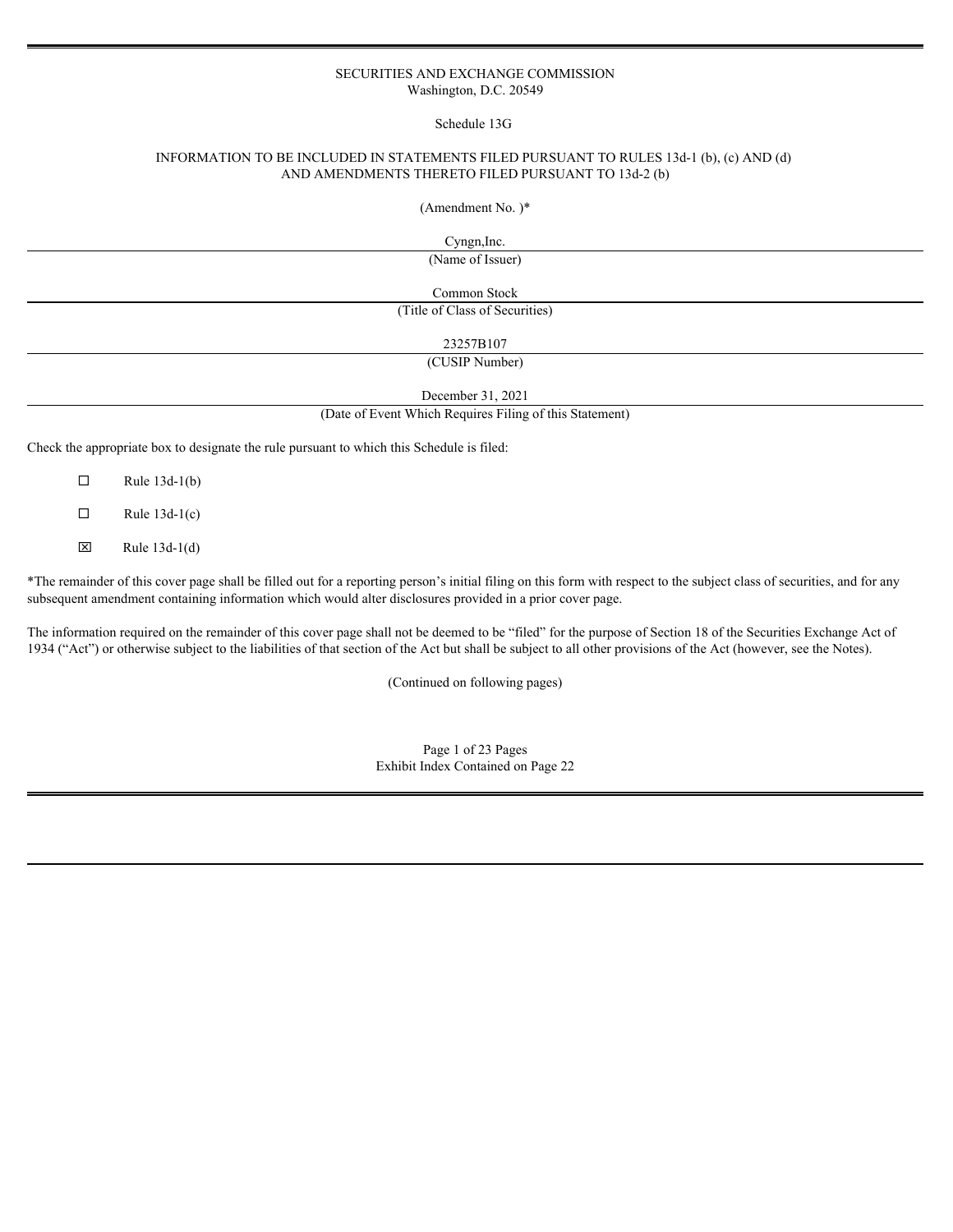### SECURITIES AND EXCHANGE COMMISSION Washington, D.C. 20549

Schedule 13G

## INFORMATION TO BE INCLUDED IN STATEMENTS FILED PURSUANT TO RULES 13d-1 (b), (c) AND (d) AND AMENDMENTS THERETO FILED PURSUANT TO 13d-2 (b)

(Amendment No. )\*

Cyngn,Inc.

(Name of Issuer)

Common Stock

(Title of Class of Securities)

23257B107

(CUSIP Number)

December 31, 2021

(Date of Event Which Requires Filing of this Statement)

Check the appropriate box to designate the rule pursuant to which this Schedule is filed:

 $\Box$  Rule 13d-1(b)

 $\Box$  Rule 13d-1(c)

 $\boxtimes$  Rule 13d-1(d)

\*The remainder of this cover page shall be filled out for a reporting person's initial filing on this form with respect to the subject class of securities, and for any subsequent amendment containing information which would alter disclosures provided in a prior cover page.

The information required on the remainder of this cover page shall not be deemed to be "filed" for the purpose of Section 18 of the Securities Exchange Act of 1934 ("Act") or otherwise subject to the liabilities of that section of the Act but shall be subject to all other provisions of the Act (however, see the Notes).

(Continued on following pages)

Page 1 of 23 Pages Exhibit Index Contained on Page 22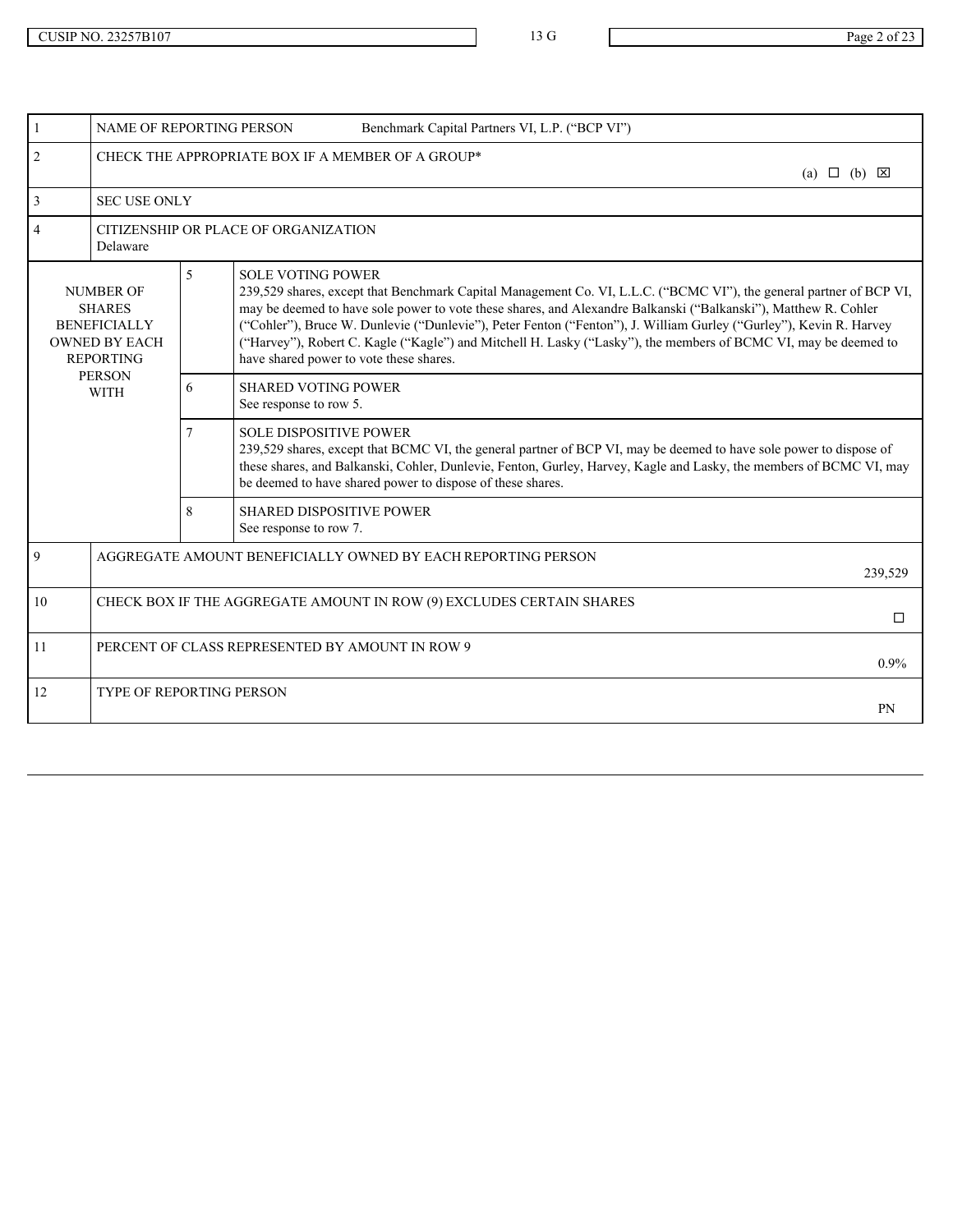| $\mathbf{1}$                                                                                                          |                | NAME OF REPORTING PERSON<br>Benchmark Capital Partners VI, L.P. ("BCP VI")                                                                                                                                                                                                                                                                                                                                                                                                                                                                             |                            |
|-----------------------------------------------------------------------------------------------------------------------|----------------|--------------------------------------------------------------------------------------------------------------------------------------------------------------------------------------------------------------------------------------------------------------------------------------------------------------------------------------------------------------------------------------------------------------------------------------------------------------------------------------------------------------------------------------------------------|----------------------------|
| 2                                                                                                                     |                | CHECK THE APPROPRIATE BOX IF A MEMBER OF A GROUP*                                                                                                                                                                                                                                                                                                                                                                                                                                                                                                      | (a) $\Box$ (b) $\boxtimes$ |
| $\mathfrak{Z}$<br><b>SEC USE ONLY</b>                                                                                 |                |                                                                                                                                                                                                                                                                                                                                                                                                                                                                                                                                                        |                            |
| $\overline{4}$<br>Delaware                                                                                            |                | CITIZENSHIP OR PLACE OF ORGANIZATION                                                                                                                                                                                                                                                                                                                                                                                                                                                                                                                   |                            |
| <b>NUMBER OF</b><br><b>SHARES</b><br><b>BENEFICIALLY</b><br><b>OWNED BY EACH</b><br><b>REPORTING</b><br><b>PERSON</b> | 5 <sup>5</sup> | <b>SOLE VOTING POWER</b><br>239,529 shares, except that Benchmark Capital Management Co. VI, L.L.C. ("BCMC VI"), the general partner of BCP VI,<br>may be deemed to have sole power to vote these shares, and Alexandre Balkanski ("Balkanski"), Matthew R. Cohler<br>("Cohler"), Bruce W. Dunlevie ("Dunlevie"), Peter Fenton ("Fenton"), J. William Gurley ("Gurley"), Kevin R. Harvey<br>("Harvey"), Robert C. Kagle ("Kagle") and Mitchell H. Lasky ("Lasky"), the members of BCMC VI, may be deemed to<br>have shared power to vote these shares. |                            |
| <b>WITH</b>                                                                                                           | 6              | <b>SHARED VOTING POWER</b><br>See response to row 5.                                                                                                                                                                                                                                                                                                                                                                                                                                                                                                   |                            |
|                                                                                                                       |                | <b>SOLE DISPOSITIVE POWER</b><br>239,529 shares, except that BCMC VI, the general partner of BCP VI, may be deemed to have sole power to dispose of<br>these shares, and Balkanski, Cohler, Dunlevie, Fenton, Gurley, Harvey, Kagle and Lasky, the members of BCMC VI, may<br>be deemed to have shared power to dispose of these shares.                                                                                                                                                                                                               |                            |
|                                                                                                                       | 8              | SHARED DISPOSITIVE POWER<br>See response to row 7.                                                                                                                                                                                                                                                                                                                                                                                                                                                                                                     |                            |
| 9                                                                                                                     |                | AGGREGATE AMOUNT BENEFICIALLY OWNED BY EACH REPORTING PERSON                                                                                                                                                                                                                                                                                                                                                                                                                                                                                           | 239,529                    |
| 10                                                                                                                    |                | CHECK BOX IF THE AGGREGATE AMOUNT IN ROW (9) EXCLUDES CERTAIN SHARES                                                                                                                                                                                                                                                                                                                                                                                                                                                                                   | □                          |
| 11                                                                                                                    |                | PERCENT OF CLASS REPRESENTED BY AMOUNT IN ROW 9                                                                                                                                                                                                                                                                                                                                                                                                                                                                                                        | $0.9\%$                    |
| 12<br><b>TYPE OF REPORTING PERSON</b>                                                                                 |                |                                                                                                                                                                                                                                                                                                                                                                                                                                                                                                                                                        | PN                         |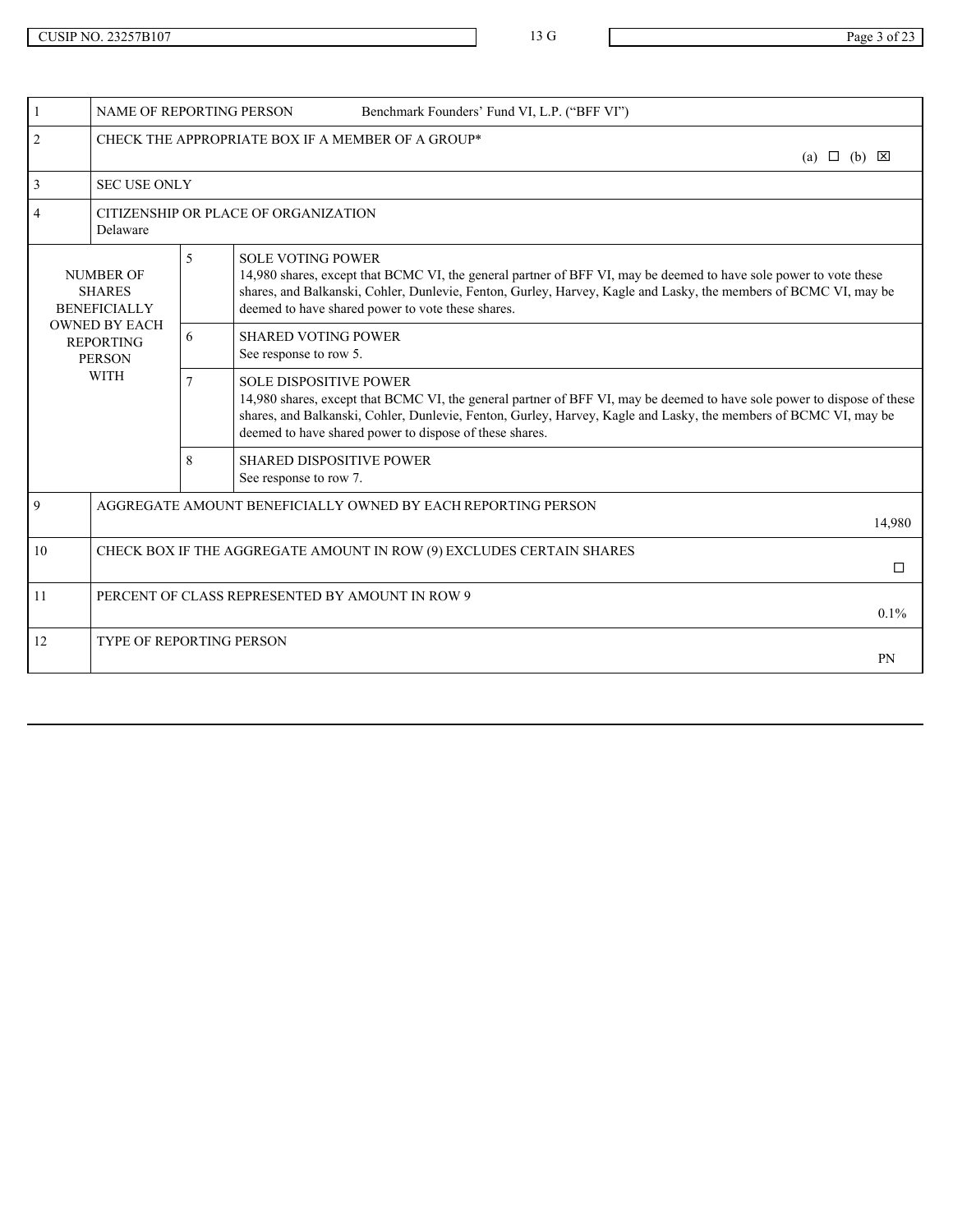|    | NAME OF REPORTING PERSON                                                       |                                      | Benchmark Founders' Fund VI, L.P. ("BFF VI")                                                                                                                                                                                                                                                                                            |         |
|----|--------------------------------------------------------------------------------|--------------------------------------|-----------------------------------------------------------------------------------------------------------------------------------------------------------------------------------------------------------------------------------------------------------------------------------------------------------------------------------------|---------|
| 2  |                                                                                |                                      | CHECK THE APPROPRIATE BOX IF A MEMBER OF A GROUP*<br>(a) $\Box$ (b) $\boxtimes$                                                                                                                                                                                                                                                         |         |
|    | <b>SEC USE ONLY</b>                                                            |                                      |                                                                                                                                                                                                                                                                                                                                         |         |
|    | Delaware                                                                       | CITIZENSHIP OR PLACE OF ORGANIZATION |                                                                                                                                                                                                                                                                                                                                         |         |
|    | <b>NUMBER OF</b><br><b>SHARES</b><br><b>BENEFICIALLY</b>                       | 5                                    | <b>SOLE VOTING POWER</b><br>14,980 shares, except that BCMC VI, the general partner of BFF VI, may be deemed to have sole power to vote these<br>shares, and Balkanski, Cohler, Dunlevie, Fenton, Gurley, Harvey, Kagle and Lasky, the members of BCMC VI, may be<br>deemed to have shared power to vote these shares.                  |         |
|    | <b>OWNED BY EACH</b><br><b>REPORTING</b><br><b>PERSON</b>                      | 6                                    | <b>SHARED VOTING POWER</b><br>See response to row 5.                                                                                                                                                                                                                                                                                    |         |
|    | <b>WITH</b>                                                                    | $\tau$                               | <b>SOLE DISPOSITIVE POWER</b><br>14,980 shares, except that BCMC VI, the general partner of BFF VI, may be deemed to have sole power to dispose of these<br>shares, and Balkanski, Cohler, Dunlevie, Fenton, Gurley, Harvey, Kagle and Lasky, the members of BCMC VI, may be<br>deemed to have shared power to dispose of these shares. |         |
|    |                                                                                | 8                                    | SHARED DISPOSITIVE POWER<br>See response to row 7.                                                                                                                                                                                                                                                                                      |         |
| 9  | AGGREGATE AMOUNT BENEFICIALLY OWNED BY EACH REPORTING PERSON                   |                                      |                                                                                                                                                                                                                                                                                                                                         | 14,980  |
| 10 | CHECK BOX IF THE AGGREGATE AMOUNT IN ROW (9) EXCLUDES CERTAIN SHARES<br>$\Box$ |                                      |                                                                                                                                                                                                                                                                                                                                         |         |
| 11 | PERCENT OF CLASS REPRESENTED BY AMOUNT IN ROW 9                                |                                      |                                                                                                                                                                                                                                                                                                                                         | $0.1\%$ |
| 12 |                                                                                | TYPE OF REPORTING PERSON             |                                                                                                                                                                                                                                                                                                                                         |         |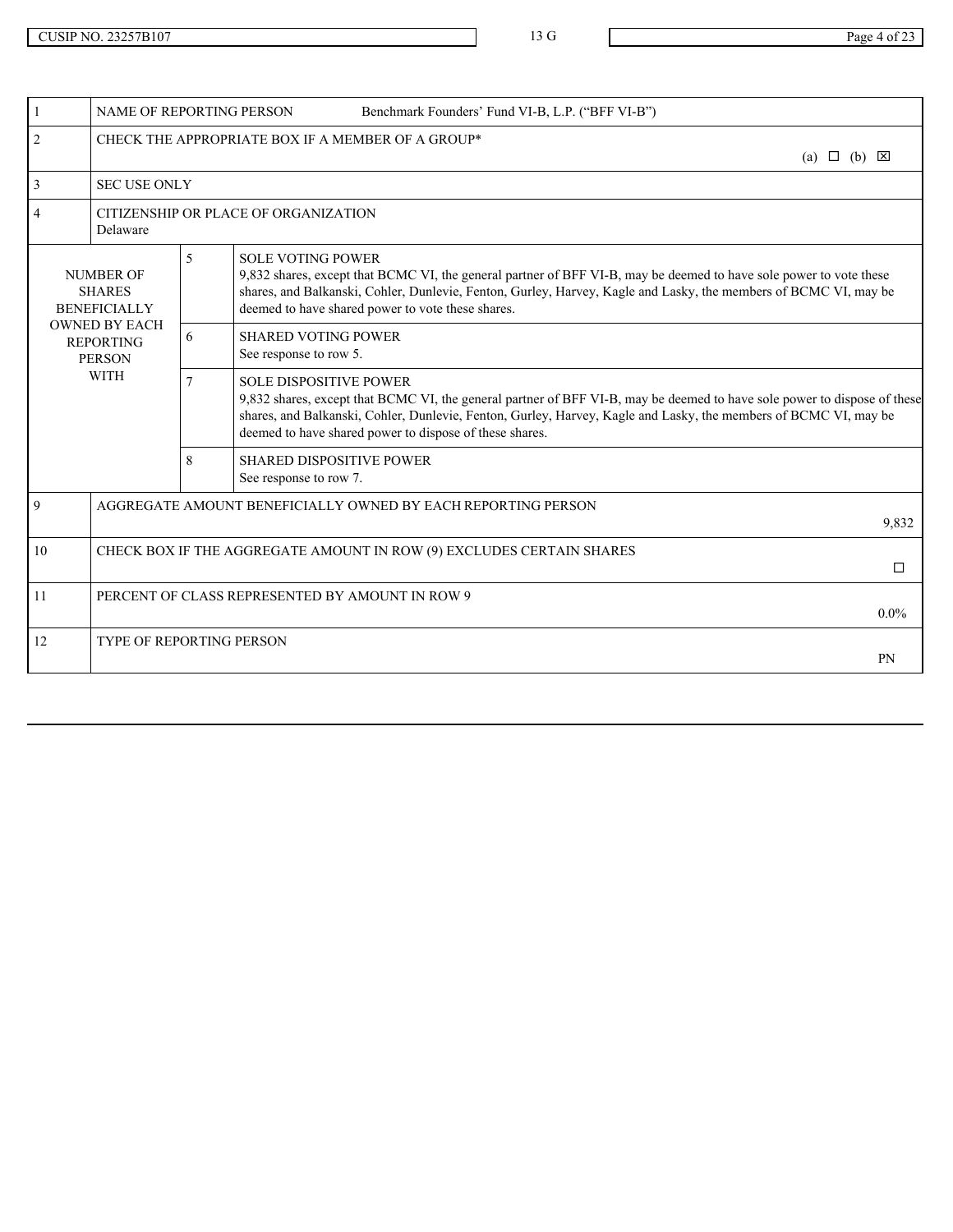|    | <b>NAME OF REPORTING PERSON</b>                                                |                                      | Benchmark Founders' Fund VI-B, L.P. ("BFF VI-B")                                                                                                                                                                                                                                                                                         |  |
|----|--------------------------------------------------------------------------------|--------------------------------------|------------------------------------------------------------------------------------------------------------------------------------------------------------------------------------------------------------------------------------------------------------------------------------------------------------------------------------------|--|
| 2  |                                                                                |                                      | CHECK THE APPROPRIATE BOX IF A MEMBER OF A GROUP*<br>(a) $\Box$ (b) $\boxtimes$                                                                                                                                                                                                                                                          |  |
|    |                                                                                | <b>SEC USE ONLY</b>                  |                                                                                                                                                                                                                                                                                                                                          |  |
|    | Delaware                                                                       | CITIZENSHIP OR PLACE OF ORGANIZATION |                                                                                                                                                                                                                                                                                                                                          |  |
|    | <b>NUMBER OF</b><br><b>SHARES</b><br><b>BENEFICIALLY</b>                       | 5                                    | <b>SOLE VOTING POWER</b><br>9,832 shares, except that BCMC VI, the general partner of BFF VI-B, may be deemed to have sole power to vote these<br>shares, and Balkanski, Cohler, Dunlevie, Fenton, Gurley, Harvey, Kagle and Lasky, the members of BCMC VI, may be<br>deemed to have shared power to vote these shares.                  |  |
|    | <b>OWNED BY EACH</b><br><b>REPORTING</b><br><b>PERSON</b>                      | 6                                    | <b>SHARED VOTING POWER</b><br>See response to row 5.                                                                                                                                                                                                                                                                                     |  |
|    | <b>WITH</b>                                                                    | $7^{\circ}$                          | <b>SOLE DISPOSITIVE POWER</b><br>9,832 shares, except that BCMC VI, the general partner of BFF VI-B, may be deemed to have sole power to dispose of these<br>shares, and Balkanski, Cohler, Dunlevie, Fenton, Gurley, Harvey, Kagle and Lasky, the members of BCMC VI, may be<br>deemed to have shared power to dispose of these shares. |  |
|    |                                                                                | 8                                    | <b>SHARED DISPOSITIVE POWER</b><br>See response to row 7.                                                                                                                                                                                                                                                                                |  |
| 9  | AGGREGATE AMOUNT BENEFICIALLY OWNED BY EACH REPORTING PERSON<br>9,832          |                                      |                                                                                                                                                                                                                                                                                                                                          |  |
| 10 | CHECK BOX IF THE AGGREGATE AMOUNT IN ROW (9) EXCLUDES CERTAIN SHARES<br>$\Box$ |                                      |                                                                                                                                                                                                                                                                                                                                          |  |
| 11 | PERCENT OF CLASS REPRESENTED BY AMOUNT IN ROW 9<br>$0.0\%$                     |                                      |                                                                                                                                                                                                                                                                                                                                          |  |
| 12 |                                                                                | TYPE OF REPORTING PERSON             |                                                                                                                                                                                                                                                                                                                                          |  |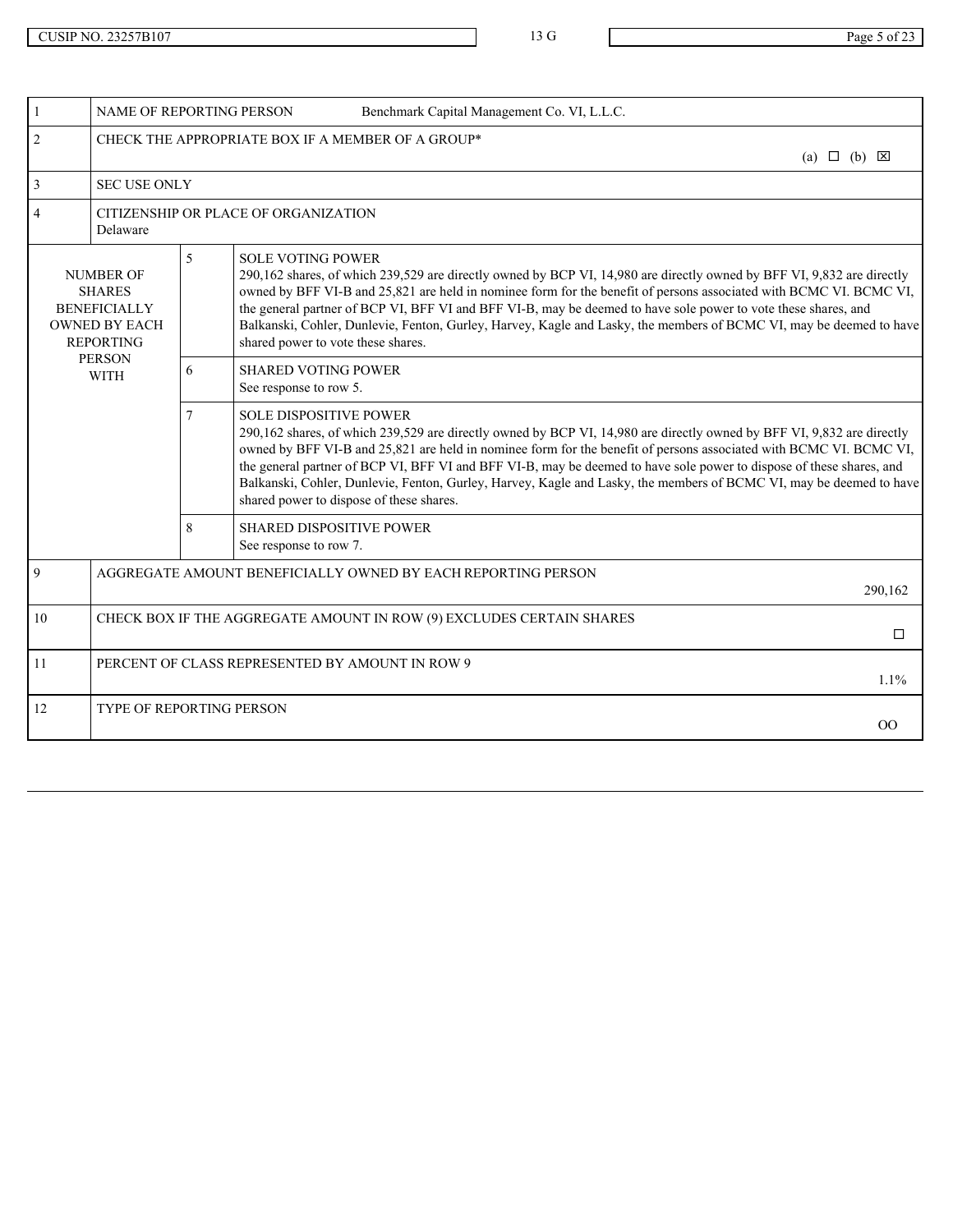| NAME OF REPORTING PERSON                                                                             |                | Benchmark Capital Management Co. VI, L.L.C.                                                                                                                                                                                                                                                                                                                                                                                                                                                                                                                              |                            |
|------------------------------------------------------------------------------------------------------|----------------|--------------------------------------------------------------------------------------------------------------------------------------------------------------------------------------------------------------------------------------------------------------------------------------------------------------------------------------------------------------------------------------------------------------------------------------------------------------------------------------------------------------------------------------------------------------------------|----------------------------|
| 2                                                                                                    |                | CHECK THE APPROPRIATE BOX IF A MEMBER OF A GROUP*                                                                                                                                                                                                                                                                                                                                                                                                                                                                                                                        | (a) $\Box$ (b) $\boxtimes$ |
| $\overline{3}$<br><b>SEC USE ONLY</b>                                                                |                |                                                                                                                                                                                                                                                                                                                                                                                                                                                                                                                                                                          |                            |
| $\overline{4}$<br>Delaware                                                                           |                | CITIZENSHIP OR PLACE OF ORGANIZATION                                                                                                                                                                                                                                                                                                                                                                                                                                                                                                                                     |                            |
| <b>NUMBER OF</b><br><b>SHARES</b><br><b>BENEFICIALLY</b><br><b>OWNED BY EACH</b><br><b>REPORTING</b> | $\mathfrak{S}$ | <b>SOLE VOTING POWER</b><br>290,162 shares, of which 239,529 are directly owned by BCP VI, 14,980 are directly owned by BFF VI, 9,832 are directly<br>owned by BFF VI-B and 25,821 are held in nominee form for the benefit of persons associated with BCMC VI. BCMC VI,<br>the general partner of BCP VI, BFF VI and BFF VI-B, may be deemed to have sole power to vote these shares, and<br>Balkanski, Cohler, Dunlevie, Fenton, Gurley, Harvey, Kagle and Lasky, the members of BCMC VI, may be deemed to have<br>shared power to vote these shares.                  |                            |
| PERSON<br><b>WITH</b>                                                                                | 6              | <b>SHARED VOTING POWER</b><br>See response to row 5.                                                                                                                                                                                                                                                                                                                                                                                                                                                                                                                     |                            |
|                                                                                                      |                | <b>SOLE DISPOSITIVE POWER</b><br>290,162 shares, of which 239,529 are directly owned by BCP VI, 14,980 are directly owned by BFF VI, 9,832 are directly<br>owned by BFF VI-B and 25,821 are held in nominee form for the benefit of persons associated with BCMC VI. BCMC VI,<br>the general partner of BCP VI, BFF VI and BFF VI-B, may be deemed to have sole power to dispose of these shares, and<br>Balkanski, Cohler, Dunlevie, Fenton, Gurley, Harvey, Kagle and Lasky, the members of BCMC VI, may be deemed to have<br>shared power to dispose of these shares. |                            |
|                                                                                                      | 8              | <b>SHARED DISPOSITIVE POWER</b><br>See response to row 7.                                                                                                                                                                                                                                                                                                                                                                                                                                                                                                                |                            |
| $\overline{9}$                                                                                       |                | AGGREGATE AMOUNT BENEFICIALLY OWNED BY EACH REPORTING PERSON                                                                                                                                                                                                                                                                                                                                                                                                                                                                                                             | 290,162                    |
| 10                                                                                                   |                | CHECK BOX IF THE AGGREGATE AMOUNT IN ROW (9) EXCLUDES CERTAIN SHARES                                                                                                                                                                                                                                                                                                                                                                                                                                                                                                     | □                          |
| 11                                                                                                   |                | PERCENT OF CLASS REPRESENTED BY AMOUNT IN ROW 9                                                                                                                                                                                                                                                                                                                                                                                                                                                                                                                          | $1.1\%$                    |
| 12<br><b>TYPE OF REPORTING PERSON</b>                                                                |                |                                                                                                                                                                                                                                                                                                                                                                                                                                                                                                                                                                          | 00 <sup>°</sup>            |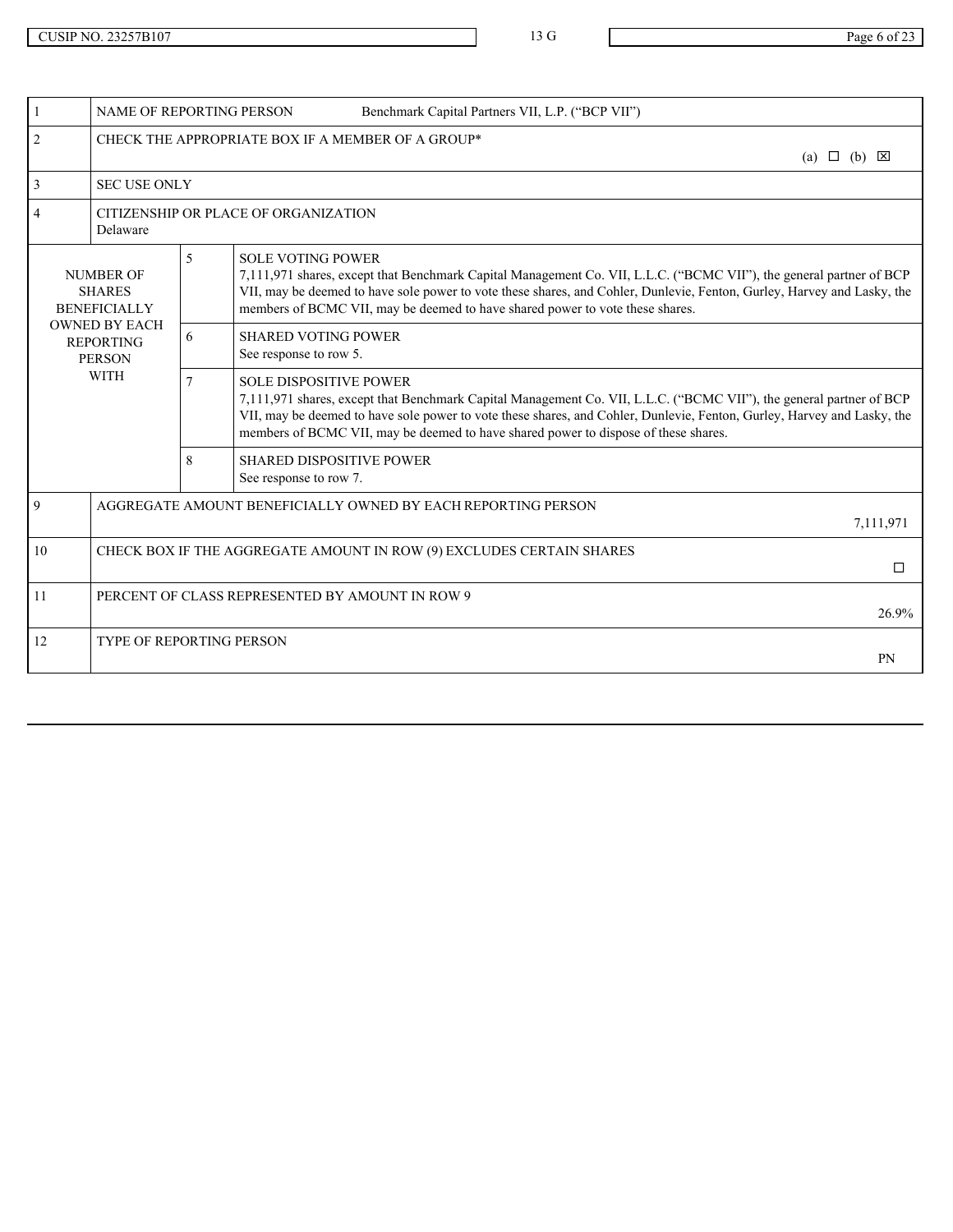|    |                                                                                | <b>NAME OF REPORTING PERSON</b><br>Benchmark Capital Partners VII, L.P. ("BCP VII") |                                                                                                                                                                                                                                                                                                                                                                        |  |
|----|--------------------------------------------------------------------------------|-------------------------------------------------------------------------------------|------------------------------------------------------------------------------------------------------------------------------------------------------------------------------------------------------------------------------------------------------------------------------------------------------------------------------------------------------------------------|--|
| 2  |                                                                                | CHECK THE APPROPRIATE BOX IF A MEMBER OF A GROUP*<br>(a) $\Box$ (b) $\boxtimes$     |                                                                                                                                                                                                                                                                                                                                                                        |  |
|    | <b>SEC USE ONLY</b>                                                            |                                                                                     |                                                                                                                                                                                                                                                                                                                                                                        |  |
|    | Delaware                                                                       | CITIZENSHIP OR PLACE OF ORGANIZATION                                                |                                                                                                                                                                                                                                                                                                                                                                        |  |
|    | <b>NUMBER OF</b><br><b>SHARES</b><br><b>BENEFICIALLY</b>                       | 5                                                                                   | <b>SOLE VOTING POWER</b><br>7,111,971 shares, except that Benchmark Capital Management Co. VII, L.L.C. ("BCMC VII"), the general partner of BCP<br>VII, may be deemed to have sole power to vote these shares, and Cohler, Dunlevie, Fenton, Gurley, Harvey and Lasky, the<br>members of BCMC VII, may be deemed to have shared power to vote these shares.            |  |
|    | <b>OWNED BY EACH</b><br><b>REPORTING</b><br><b>PERSON</b>                      | 6                                                                                   | <b>SHARED VOTING POWER</b><br>See response to row 5.                                                                                                                                                                                                                                                                                                                   |  |
|    | <b>WITH</b>                                                                    | $7^{\circ}$                                                                         | <b>SOLE DISPOSITIVE POWER</b><br>7,111,971 shares, except that Benchmark Capital Management Co. VII, L.L.C. ("BCMC VII"), the general partner of BCP<br>VII, may be deemed to have sole power to vote these shares, and Cohler, Dunlevie, Fenton, Gurley, Harvey and Lasky, the<br>members of BCMC VII, may be deemed to have shared power to dispose of these shares. |  |
|    |                                                                                | 8                                                                                   | <b>SHARED DISPOSITIVE POWER</b><br>See response to row 7.                                                                                                                                                                                                                                                                                                              |  |
| 9  | AGGREGATE AMOUNT BENEFICIALLY OWNED BY EACH REPORTING PERSON<br>7,111,971      |                                                                                     |                                                                                                                                                                                                                                                                                                                                                                        |  |
| 10 | CHECK BOX IF THE AGGREGATE AMOUNT IN ROW (9) EXCLUDES CERTAIN SHARES<br>$\Box$ |                                                                                     |                                                                                                                                                                                                                                                                                                                                                                        |  |
| 11 | PERCENT OF CLASS REPRESENTED BY AMOUNT IN ROW 9<br>26.9%                       |                                                                                     |                                                                                                                                                                                                                                                                                                                                                                        |  |
| 12 | TYPE OF REPORTING PERSON<br><b>PN</b>                                          |                                                                                     |                                                                                                                                                                                                                                                                                                                                                                        |  |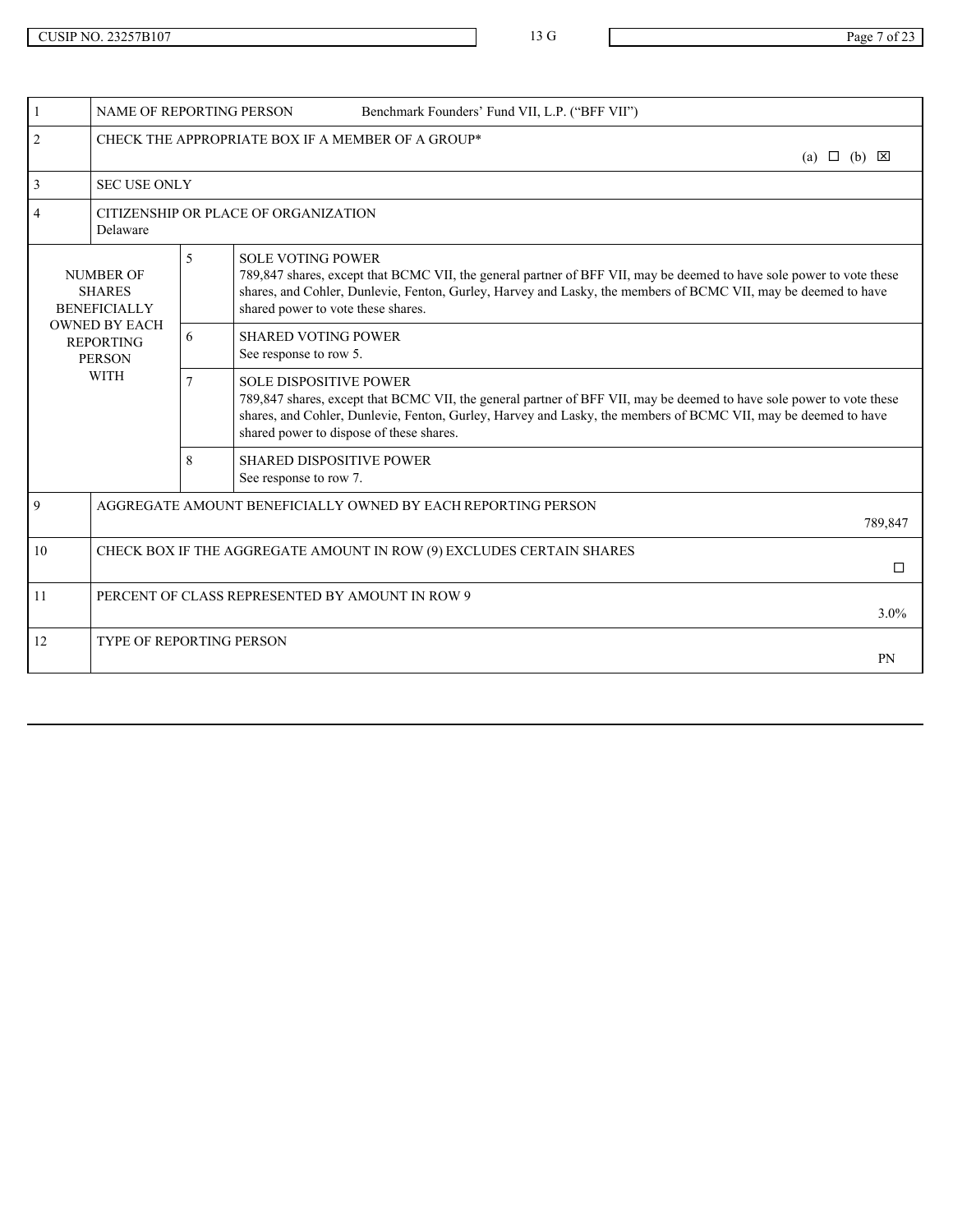|                                                           |                | NAME OF REPORTING PERSON<br>Benchmark Founders' Fund VII, L.P. ("BFF VII")                                                                                                                                                                                                                                          |                          |
|-----------------------------------------------------------|----------------|---------------------------------------------------------------------------------------------------------------------------------------------------------------------------------------------------------------------------------------------------------------------------------------------------------------------|--------------------------|
| $\overline{2}$                                            |                | CHECK THE APPROPRIATE BOX IF A MEMBER OF A GROUP*                                                                                                                                                                                                                                                                   | $(a) \Box (b) \boxtimes$ |
| <b>SEC USE ONLY</b><br>3                                  |                |                                                                                                                                                                                                                                                                                                                     |                          |
| $\overline{4}$<br>Delaware                                |                | CITIZENSHIP OR PLACE OF ORGANIZATION                                                                                                                                                                                                                                                                                |                          |
| <b>NUMBER OF</b><br><b>SHARES</b><br><b>BENEFICIALLY</b>  | 5 <sup>1</sup> | <b>SOLE VOTING POWER</b><br>789,847 shares, except that BCMC VII, the general partner of BFF VII, may be deemed to have sole power to vote these<br>shares, and Cohler, Dunlevie, Fenton, Gurley, Harvey and Lasky, the members of BCMC VII, may be deemed to have<br>shared power to vote these shares.            |                          |
| <b>OWNED BY EACH</b><br><b>REPORTING</b><br><b>PERSON</b> | 6              | <b>SHARED VOTING POWER</b><br>See response to row 5.                                                                                                                                                                                                                                                                |                          |
| <b>WITH</b>                                               | $\tau$         | <b>SOLE DISPOSITIVE POWER</b><br>789,847 shares, except that BCMC VII, the general partner of BFF VII, may be deemed to have sole power to vote these<br>shares, and Cohler, Dunlevie, Fenton, Gurley, Harvey and Lasky, the members of BCMC VII, may be deemed to have<br>shared power to dispose of these shares. |                          |
|                                                           | 8              | <b>SHARED DISPOSITIVE POWER</b><br>See response to row 7.                                                                                                                                                                                                                                                           |                          |
| 9                                                         |                | AGGREGATE AMOUNT BENEFICIALLY OWNED BY EACH REPORTING PERSON                                                                                                                                                                                                                                                        | 789,847                  |
| 10                                                        |                | CHECK BOX IF THE AGGREGATE AMOUNT IN ROW (9) EXCLUDES CERTAIN SHARES                                                                                                                                                                                                                                                | $\Box$                   |
| 11                                                        |                | PERCENT OF CLASS REPRESENTED BY AMOUNT IN ROW 9                                                                                                                                                                                                                                                                     | $3.0\%$                  |
| 12<br>TYPE OF REPORTING PERSON                            |                |                                                                                                                                                                                                                                                                                                                     | PN                       |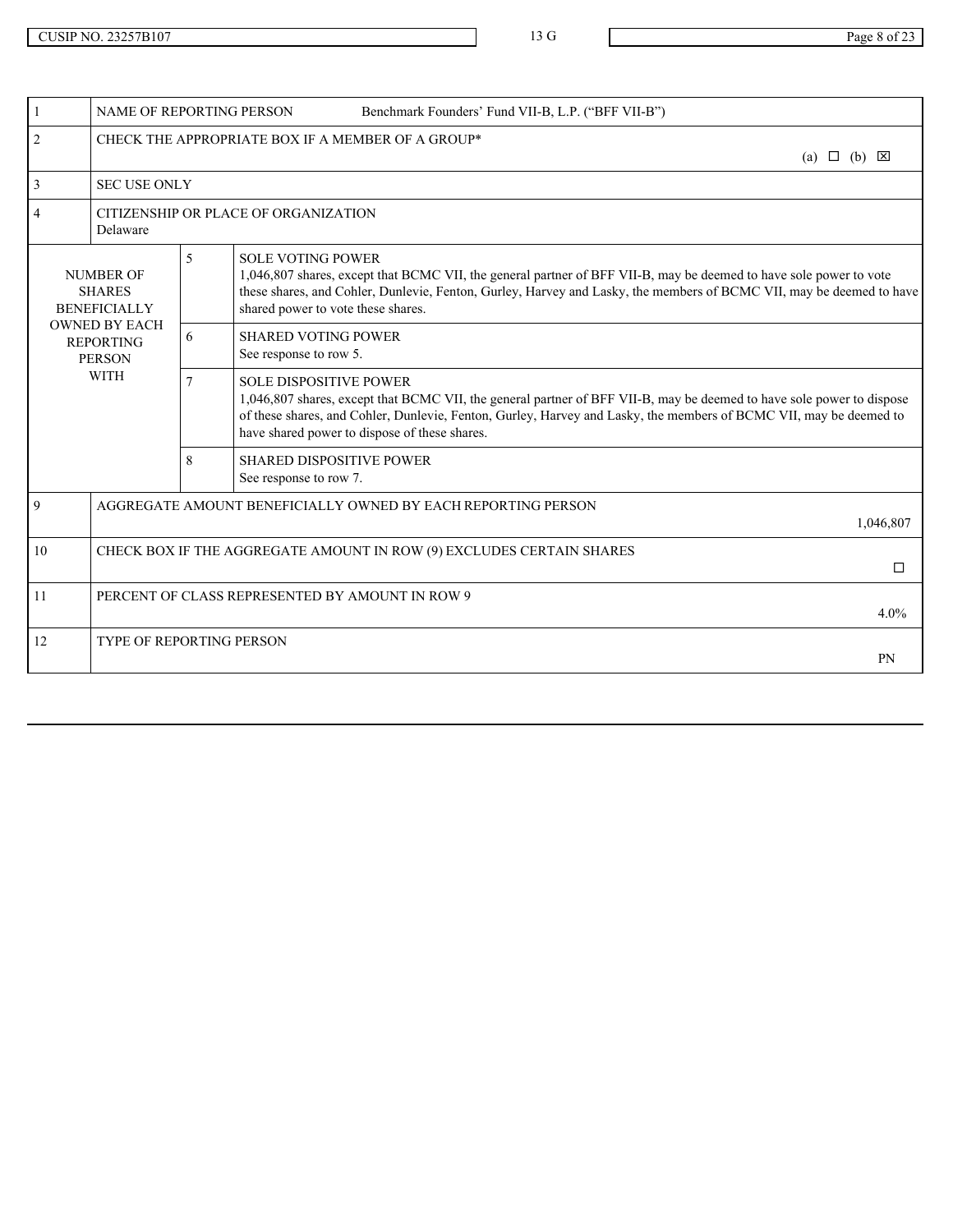| <b>NAME OF REPORTING PERSON</b>                           |                | Benchmark Founders' Fund VII-B, L.P. ("BFF VII-B")                                                                                                                                                                                                                                                                            |                            |
|-----------------------------------------------------------|----------------|-------------------------------------------------------------------------------------------------------------------------------------------------------------------------------------------------------------------------------------------------------------------------------------------------------------------------------|----------------------------|
| 2                                                         |                | CHECK THE APPROPRIATE BOX IF A MEMBER OF A GROUP*                                                                                                                                                                                                                                                                             | (a) $\Box$ (b) $\boxtimes$ |
| <b>SEC USE ONLY</b><br>$\mathcal{R}$                      |                |                                                                                                                                                                                                                                                                                                                               |                            |
| $\overline{4}$<br>Delaware                                |                | CITIZENSHIP OR PLACE OF ORGANIZATION                                                                                                                                                                                                                                                                                          |                            |
| <b>NUMBER OF</b><br><b>SHARES</b><br><b>BENEFICIALLY</b>  | 5 <sup>1</sup> | <b>SOLE VOTING POWER</b><br>1,046,807 shares, except that BCMC VII, the general partner of BFF VII-B, may be deemed to have sole power to vote<br>these shares, and Cohler, Dunlevie, Fenton, Gurley, Harvey and Lasky, the members of BCMC VII, may be deemed to have<br>shared power to vote these shares.                  |                            |
| <b>OWNED BY EACH</b><br><b>REPORTING</b><br><b>PERSON</b> | 6              | <b>SHARED VOTING POWER</b><br>See response to row 5.                                                                                                                                                                                                                                                                          |                            |
| <b>WITH</b>                                               | $\tau$         | <b>SOLE DISPOSITIVE POWER</b><br>1,046,807 shares, except that BCMC VII, the general partner of BFF VII-B, may be deemed to have sole power to dispose<br>of these shares, and Cohler, Dunlevie, Fenton, Gurley, Harvey and Lasky, the members of BCMC VII, may be deemed to<br>have shared power to dispose of these shares. |                            |
|                                                           | 8              | <b>SHARED DISPOSITIVE POWER</b><br>See response to row 7.                                                                                                                                                                                                                                                                     |                            |
| 9                                                         |                | AGGREGATE AMOUNT BENEFICIALLY OWNED BY EACH REPORTING PERSON                                                                                                                                                                                                                                                                  | 1,046,807                  |
| 10                                                        |                | CHECK BOX IF THE AGGREGATE AMOUNT IN ROW (9) EXCLUDES CERTAIN SHARES                                                                                                                                                                                                                                                          | $\Box$                     |
| 11                                                        |                | PERCENT OF CLASS REPRESENTED BY AMOUNT IN ROW 9                                                                                                                                                                                                                                                                               | $4.0\%$                    |
| 12<br>TYPE OF REPORTING PERSON                            |                |                                                                                                                                                                                                                                                                                                                               | PN                         |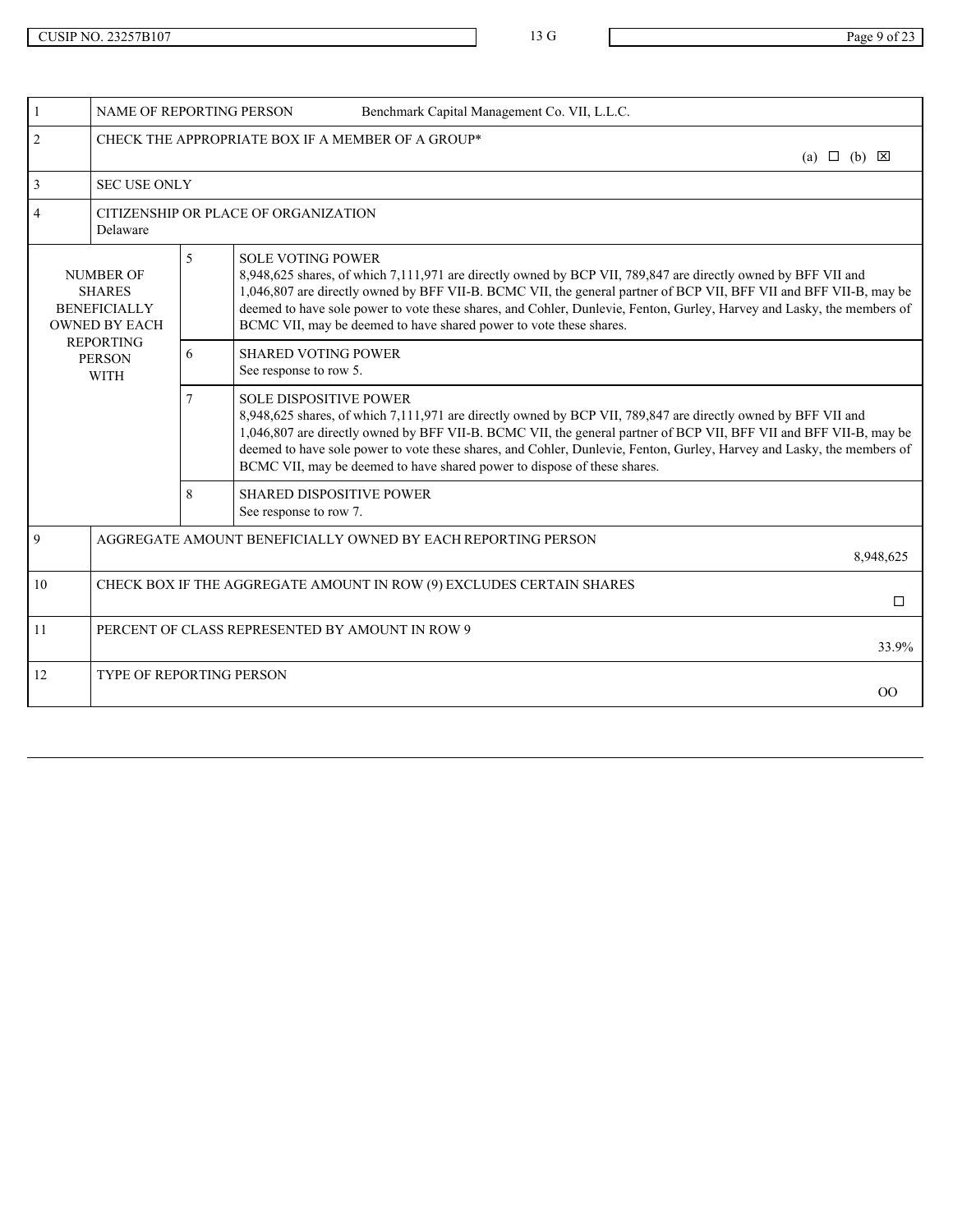|                                                                                  |                | <b>NAME OF REPORTING PERSON</b><br>Benchmark Capital Management Co. VII, L.L.C.                                                                                                                                                                                                                                                                                                                                                                                            |
|----------------------------------------------------------------------------------|----------------|----------------------------------------------------------------------------------------------------------------------------------------------------------------------------------------------------------------------------------------------------------------------------------------------------------------------------------------------------------------------------------------------------------------------------------------------------------------------------|
| 2                                                                                |                | CHECK THE APPROPRIATE BOX IF A MEMBER OF A GROUP*<br>(a) $\Box$ (b) $\boxtimes$                                                                                                                                                                                                                                                                                                                                                                                            |
| $\overline{3}$<br><b>SEC USE ONLY</b>                                            |                |                                                                                                                                                                                                                                                                                                                                                                                                                                                                            |
| Delaware                                                                         |                | CITIZENSHIP OR PLACE OF ORGANIZATION                                                                                                                                                                                                                                                                                                                                                                                                                                       |
| <b>NUMBER OF</b><br><b>SHARES</b><br><b>BENEFICIALLY</b><br><b>OWNED BY EACH</b> | $\mathfrak{S}$ | <b>SOLE VOTING POWER</b><br>8,948,625 shares, of which 7,111,971 are directly owned by BCP VII, 789,847 are directly owned by BFF VII and<br>1,046,807 are directly owned by BFF VII-B. BCMC VII, the general partner of BCP VII, BFF VII and BFF VII-B, may be<br>deemed to have sole power to vote these shares, and Cohler, Dunlevie, Fenton, Gurley, Harvey and Lasky, the members of<br>BCMC VII, may be deemed to have shared power to vote these shares.            |
| <b>REPORTING</b><br><b>PERSON</b><br><b>WITH</b>                                 | 6              | <b>SHARED VOTING POWER</b><br>See response to row 5.                                                                                                                                                                                                                                                                                                                                                                                                                       |
|                                                                                  | $\tau$         | <b>SOLE DISPOSITIVE POWER</b><br>8,948,625 shares, of which 7,111,971 are directly owned by BCP VII, 789,847 are directly owned by BFF VII and<br>1,046,807 are directly owned by BFF VII-B. BCMC VII, the general partner of BCP VII, BFF VII and BFF VII-B, may be<br>deemed to have sole power to vote these shares, and Cohler, Dunlevie, Fenton, Gurley, Harvey and Lasky, the members of<br>BCMC VII, may be deemed to have shared power to dispose of these shares. |
|                                                                                  | 8              | <b>SHARED DISPOSITIVE POWER</b><br>See response to row 7.                                                                                                                                                                                                                                                                                                                                                                                                                  |
| 9                                                                                |                | AGGREGATE AMOUNT BENEFICIALLY OWNED BY EACH REPORTING PERSON<br>8,948,625                                                                                                                                                                                                                                                                                                                                                                                                  |
| 10                                                                               |                | CHECK BOX IF THE AGGREGATE AMOUNT IN ROW (9) EXCLUDES CERTAIN SHARES<br>$\Box$                                                                                                                                                                                                                                                                                                                                                                                             |
| -11                                                                              |                | PERCENT OF CLASS REPRESENTED BY AMOUNT IN ROW 9<br>33.9%                                                                                                                                                                                                                                                                                                                                                                                                                   |
| 12<br>TYPE OF REPORTING PERSON                                                   |                | OO                                                                                                                                                                                                                                                                                                                                                                                                                                                                         |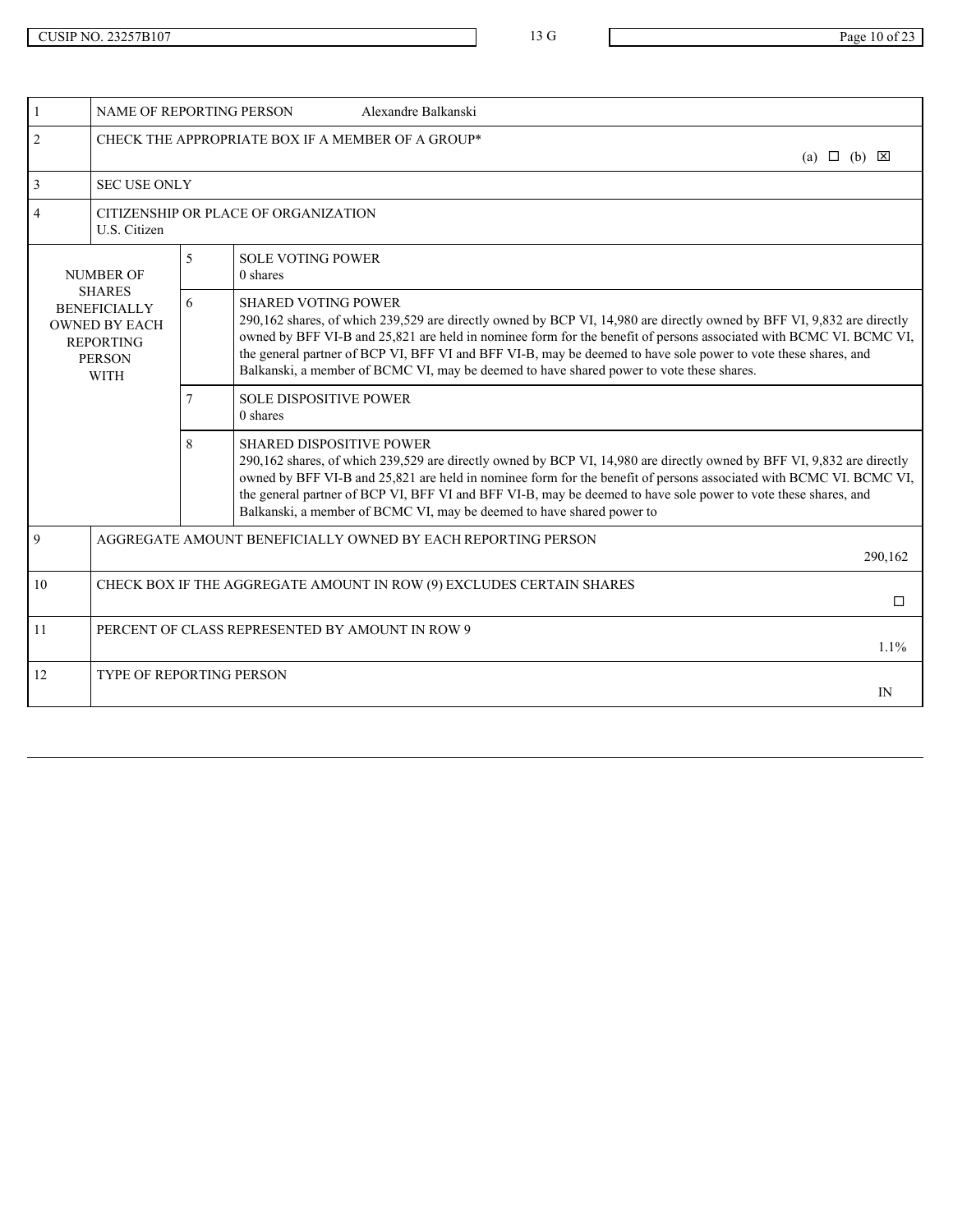|                | NAME OF REPORTING PERSON                                                                                         |                | Alexandre Balkanski                                                                                                                                                                                                                                                                                                                                                                                                                                                                      |
|----------------|------------------------------------------------------------------------------------------------------------------|----------------|------------------------------------------------------------------------------------------------------------------------------------------------------------------------------------------------------------------------------------------------------------------------------------------------------------------------------------------------------------------------------------------------------------------------------------------------------------------------------------------|
| $\overline{2}$ |                                                                                                                  |                | CHECK THE APPROPRIATE BOX IF A MEMBER OF A GROUP*<br>(a) $\Box$ (b) $\boxtimes$                                                                                                                                                                                                                                                                                                                                                                                                          |
| $\overline{3}$ | <b>SEC USE ONLY</b>                                                                                              |                |                                                                                                                                                                                                                                                                                                                                                                                                                                                                                          |
| $\overline{4}$ | U.S. Citizen                                                                                                     |                | CITIZENSHIP OR PLACE OF ORGANIZATION                                                                                                                                                                                                                                                                                                                                                                                                                                                     |
|                | NUMBER OF                                                                                                        | $\overline{5}$ | <b>SOLE VOTING POWER</b><br>0 shares                                                                                                                                                                                                                                                                                                                                                                                                                                                     |
|                | <b>SHARES</b><br><b>BENEFICIALLY</b><br><b>OWNED BY EACH</b><br><b>REPORTING</b><br><b>PERSON</b><br><b>WITH</b> | 6              | <b>SHARED VOTING POWER</b><br>290,162 shares, of which 239,529 are directly owned by BCP VI, 14,980 are directly owned by BFF VI, 9,832 are directly<br>owned by BFF VI-B and 25,821 are held in nominee form for the benefit of persons associated with BCMC VI. BCMC VI,<br>the general partner of BCP VI, BFF VI and BFF VI-B, may be deemed to have sole power to vote these shares, and<br>Balkanski, a member of BCMC VI, may be deemed to have shared power to vote these shares. |
|                |                                                                                                                  |                | <b>SOLE DISPOSITIVE POWER</b><br>0 shares                                                                                                                                                                                                                                                                                                                                                                                                                                                |
|                |                                                                                                                  | 8              | <b>SHARED DISPOSITIVE POWER</b><br>290,162 shares, of which 239,529 are directly owned by BCP VI, 14,980 are directly owned by BFF VI, 9,832 are directly<br>owned by BFF VI-B and 25,821 are held in nominee form for the benefit of persons associated with BCMC VI. BCMC VI,<br>the general partner of BCP VI, BFF VI and BFF VI-B, may be deemed to have sole power to vote these shares, and<br>Balkanski, a member of BCMC VI, may be deemed to have shared power to               |
| 9              | AGGREGATE AMOUNT BENEFICIALLY OWNED BY EACH REPORTING PERSON<br>290,162                                          |                |                                                                                                                                                                                                                                                                                                                                                                                                                                                                                          |
| 10             | CHECK BOX IF THE AGGREGATE AMOUNT IN ROW (9) EXCLUDES CERTAIN SHARES<br>$\Box$                                   |                |                                                                                                                                                                                                                                                                                                                                                                                                                                                                                          |
| 11             |                                                                                                                  |                | PERCENT OF CLASS REPRESENTED BY AMOUNT IN ROW 9<br>1.1%                                                                                                                                                                                                                                                                                                                                                                                                                                  |
| 12             | <b>TYPE OF REPORTING PERSON</b><br>IN                                                                            |                |                                                                                                                                                                                                                                                                                                                                                                                                                                                                                          |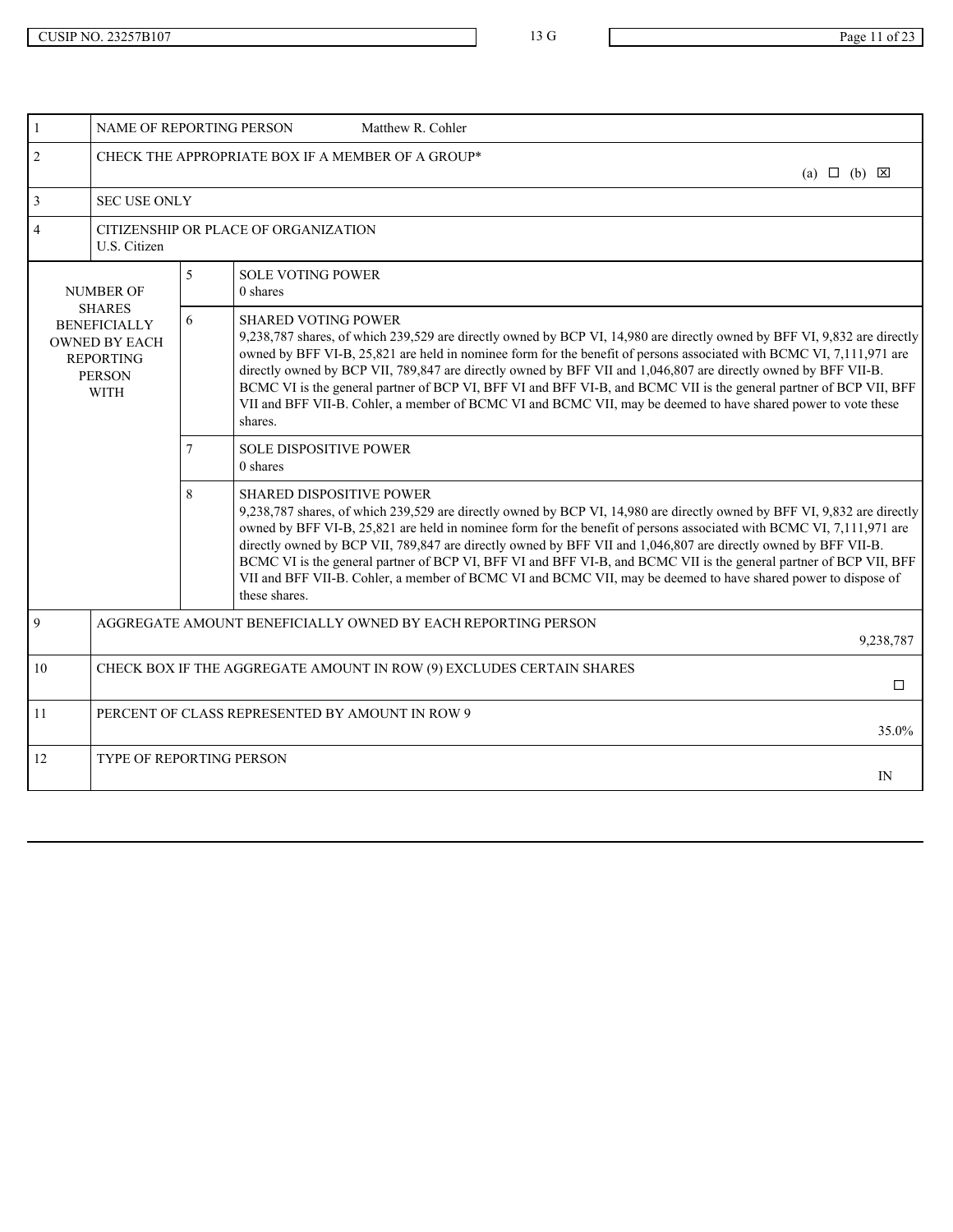|                                                                                                                  | NAME OF REPORTING PERSON                                                       |                | Matthew R. Cohler                                                                                                                                                                                                                                                                                                                                                                                                                                                                                                                                                                                                                                              |  |
|------------------------------------------------------------------------------------------------------------------|--------------------------------------------------------------------------------|----------------|----------------------------------------------------------------------------------------------------------------------------------------------------------------------------------------------------------------------------------------------------------------------------------------------------------------------------------------------------------------------------------------------------------------------------------------------------------------------------------------------------------------------------------------------------------------------------------------------------------------------------------------------------------------|--|
| $\overline{2}$                                                                                                   |                                                                                |                | CHECK THE APPROPRIATE BOX IF A MEMBER OF A GROUP*<br>(a) $\Box$ (b) $\boxtimes$                                                                                                                                                                                                                                                                                                                                                                                                                                                                                                                                                                                |  |
| $\overline{3}$                                                                                                   | <b>SEC USE ONLY</b>                                                            |                |                                                                                                                                                                                                                                                                                                                                                                                                                                                                                                                                                                                                                                                                |  |
| $\overline{4}$                                                                                                   | U.S. Citizen                                                                   |                | CITIZENSHIP OR PLACE OF ORGANIZATION                                                                                                                                                                                                                                                                                                                                                                                                                                                                                                                                                                                                                           |  |
|                                                                                                                  | <b>NUMBER OF</b>                                                               | 5 <sup>1</sup> | <b>SOLE VOTING POWER</b><br>0 shares                                                                                                                                                                                                                                                                                                                                                                                                                                                                                                                                                                                                                           |  |
| <b>SHARES</b><br><b>BENEFICIALLY</b><br><b>OWNED BY EACH</b><br><b>REPORTING</b><br><b>PERSON</b><br><b>WITH</b> |                                                                                | 6              | <b>SHARED VOTING POWER</b><br>9,238,787 shares, of which 239,529 are directly owned by BCP VI, 14,980 are directly owned by BFF VI, 9,832 are directly<br>owned by BFF VI-B, 25,821 are held in nominee form for the benefit of persons associated with BCMC VI, 7,111,971 are<br>directly owned by BCP VII, 789,847 are directly owned by BFF VII and 1,046,807 are directly owned by BFF VII-B.<br>BCMC VI is the general partner of BCP VI, BFF VI and BFF VI-B, and BCMC VII is the general partner of BCP VII, BFF<br>VII and BFF VII-B. Cohler, a member of BCMC VI and BCMC VII, may be deemed to have shared power to vote these<br>shares.            |  |
|                                                                                                                  |                                                                                |                | <b>SOLE DISPOSITIVE POWER</b><br>0 shares                                                                                                                                                                                                                                                                                                                                                                                                                                                                                                                                                                                                                      |  |
|                                                                                                                  |                                                                                | 8              | <b>SHARED DISPOSITIVE POWER</b><br>9,238,787 shares, of which 239,529 are directly owned by BCP VI, 14,980 are directly owned by BFF VI, 9,832 are directly<br>owned by BFF VI-B, 25,821 are held in nominee form for the benefit of persons associated with BCMC VI, 7,111,971 are<br>directly owned by BCP VII, 789,847 are directly owned by BFF VII and 1,046,807 are directly owned by BFF VII-B.<br>BCMC VI is the general partner of BCP VI, BFF VI and BFF VI-B, and BCMC VII is the general partner of BCP VII, BFF<br>VII and BFF VII-B. Cohler, a member of BCMC VI and BCMC VII, may be deemed to have shared power to dispose of<br>these shares. |  |
| $\overline{Q}$                                                                                                   |                                                                                |                | AGGREGATE AMOUNT BENEFICIALLY OWNED BY EACH REPORTING PERSON<br>9,238,787                                                                                                                                                                                                                                                                                                                                                                                                                                                                                                                                                                                      |  |
| 10                                                                                                               | CHECK BOX IF THE AGGREGATE AMOUNT IN ROW (9) EXCLUDES CERTAIN SHARES<br>$\Box$ |                |                                                                                                                                                                                                                                                                                                                                                                                                                                                                                                                                                                                                                                                                |  |
| 11                                                                                                               |                                                                                |                | PERCENT OF CLASS REPRESENTED BY AMOUNT IN ROW 9<br>35.0%                                                                                                                                                                                                                                                                                                                                                                                                                                                                                                                                                                                                       |  |
| 12                                                                                                               | TYPE OF REPORTING PERSON                                                       |                | IN                                                                                                                                                                                                                                                                                                                                                                                                                                                                                                                                                                                                                                                             |  |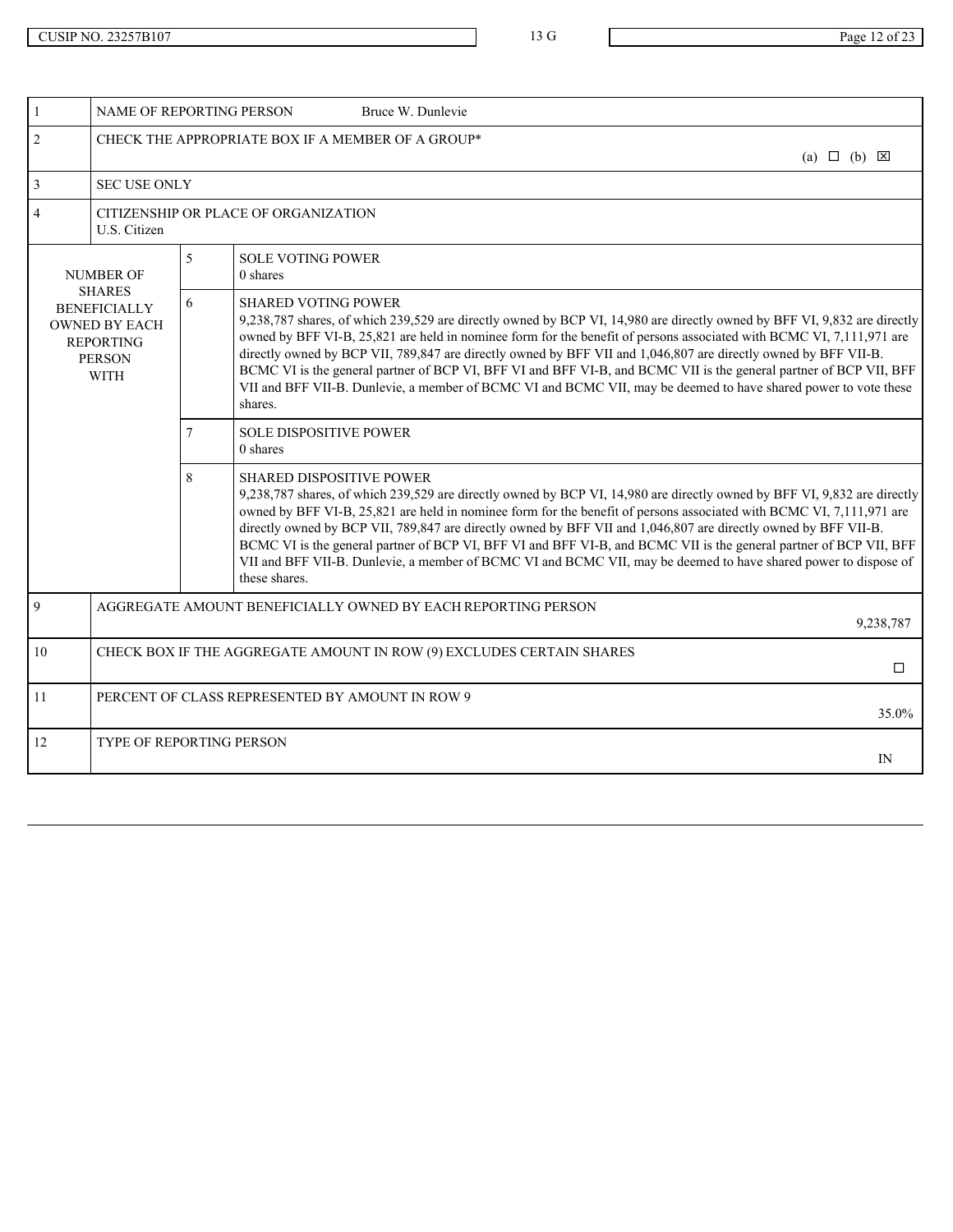| $\mathbf{1}$                                                                                              | NAME OF REPORTING PERSON<br>Bruce W. Dunlevie                                                                                                                                                                                                                                                                                                                                                                                                                                                                                                                                                                                                                         |
|-----------------------------------------------------------------------------------------------------------|-----------------------------------------------------------------------------------------------------------------------------------------------------------------------------------------------------------------------------------------------------------------------------------------------------------------------------------------------------------------------------------------------------------------------------------------------------------------------------------------------------------------------------------------------------------------------------------------------------------------------------------------------------------------------|
| 2                                                                                                         | CHECK THE APPROPRIATE BOX IF A MEMBER OF A GROUP*<br>(a) $\Box$ (b) $\boxtimes$                                                                                                                                                                                                                                                                                                                                                                                                                                                                                                                                                                                       |
| $\overline{3}$<br><b>SEC USE ONLY</b>                                                                     |                                                                                                                                                                                                                                                                                                                                                                                                                                                                                                                                                                                                                                                                       |
| $\overline{4}$<br>U.S. Citizen                                                                            | CITIZENSHIP OR PLACE OF ORGANIZATION                                                                                                                                                                                                                                                                                                                                                                                                                                                                                                                                                                                                                                  |
| <b>NUMBER OF</b>                                                                                          | 5 <sup>5</sup><br><b>SOLE VOTING POWER</b><br>0 shares                                                                                                                                                                                                                                                                                                                                                                                                                                                                                                                                                                                                                |
| SHARES<br><b>BENEFICIALLY</b><br><b>OWNED BY EACH</b><br><b>REPORTING</b><br><b>PERSON</b><br><b>WITH</b> | 6<br><b>SHARED VOTING POWER</b><br>9,238,787 shares, of which 239,529 are directly owned by BCP VI, 14,980 are directly owned by BFF VI, 9,832 are directly<br>owned by BFF VI-B, 25,821 are held in nominee form for the benefit of persons associated with BCMC VI, 7,111,971 are<br>directly owned by BCP VII, 789,847 are directly owned by BFF VII and 1,046,807 are directly owned by BFF VII-B.<br>BCMC VI is the general partner of BCP VI, BFF VI and BFF VI-B, and BCMC VII is the general partner of BCP VII, BFF<br>VII and BFF VII-B. Dunlevie, a member of BCMC VI and BCMC VII, may be deemed to have shared power to vote these<br>shares.            |
|                                                                                                           | <b>SOLE DISPOSITIVE POWER</b><br>0 shares                                                                                                                                                                                                                                                                                                                                                                                                                                                                                                                                                                                                                             |
|                                                                                                           | <b>SHARED DISPOSITIVE POWER</b><br>8<br>9,238,787 shares, of which 239,529 are directly owned by BCP VI, 14,980 are directly owned by BFF VI, 9,832 are directly<br>owned by BFF VI-B, 25,821 are held in nominee form for the benefit of persons associated with BCMC VI, 7,111,971 are<br>directly owned by BCP VII, 789,847 are directly owned by BFF VII and 1,046,807 are directly owned by BFF VII-B.<br>BCMC VI is the general partner of BCP VI, BFF VI and BFF VI-B, and BCMC VII is the general partner of BCP VII, BFF<br>VII and BFF VII-B. Dunlevie, a member of BCMC VI and BCMC VII, may be deemed to have shared power to dispose of<br>these shares. |
| $\overline{9}$                                                                                            | AGGREGATE AMOUNT BENEFICIALLY OWNED BY EACH REPORTING PERSON<br>9,238,787                                                                                                                                                                                                                                                                                                                                                                                                                                                                                                                                                                                             |
| 10                                                                                                        | CHECK BOX IF THE AGGREGATE AMOUNT IN ROW (9) EXCLUDES CERTAIN SHARES<br>□                                                                                                                                                                                                                                                                                                                                                                                                                                                                                                                                                                                             |
| 11                                                                                                        | PERCENT OF CLASS REPRESENTED BY AMOUNT IN ROW 9<br>35.0%                                                                                                                                                                                                                                                                                                                                                                                                                                                                                                                                                                                                              |
| 12                                                                                                        | TYPE OF REPORTING PERSON<br>IN                                                                                                                                                                                                                                                                                                                                                                                                                                                                                                                                                                                                                                        |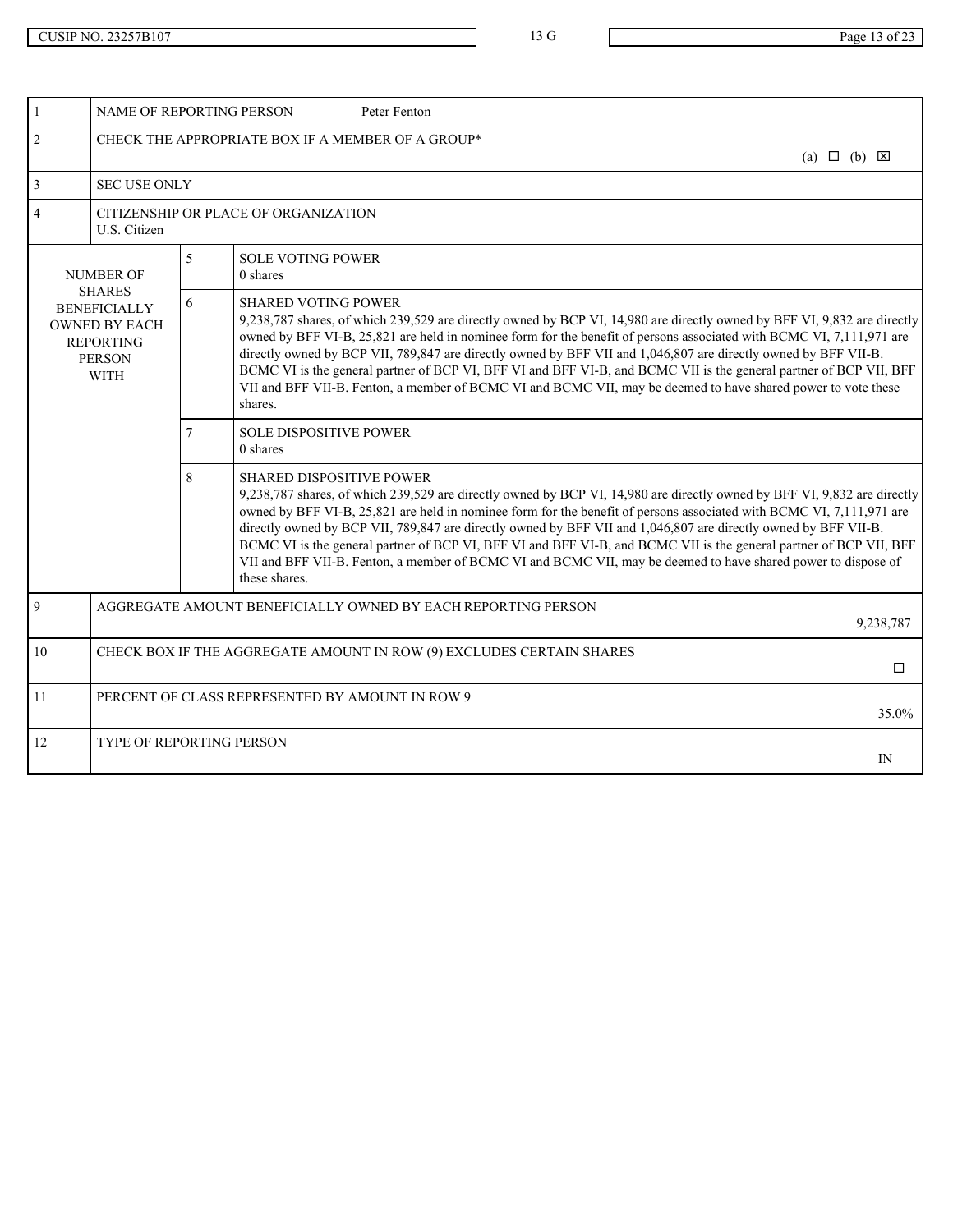| $\mathbf{1}$                                                                                       | NAME OF REPORTING PERSON<br>Peter Fenton                                                                                                                                                                                                                                                                                                                                                                                                                                                                                                                                                                                                                     |
|----------------------------------------------------------------------------------------------------|--------------------------------------------------------------------------------------------------------------------------------------------------------------------------------------------------------------------------------------------------------------------------------------------------------------------------------------------------------------------------------------------------------------------------------------------------------------------------------------------------------------------------------------------------------------------------------------------------------------------------------------------------------------|
| $\overline{2}$                                                                                     | CHECK THE APPROPRIATE BOX IF A MEMBER OF A GROUP*<br>(a) $\Box$ (b) $\boxtimes$                                                                                                                                                                                                                                                                                                                                                                                                                                                                                                                                                                              |
| $\overline{3}$<br><b>SEC USE ONLY</b>                                                              |                                                                                                                                                                                                                                                                                                                                                                                                                                                                                                                                                                                                                                                              |
| $\overline{4}$<br>U.S. Citizen                                                                     | CITIZENSHIP OR PLACE OF ORGANIZATION                                                                                                                                                                                                                                                                                                                                                                                                                                                                                                                                                                                                                         |
| <b>NUMBER OF</b>                                                                                   | $\mathcal{F}$<br><b>SOLE VOTING POWER</b><br>0 shares                                                                                                                                                                                                                                                                                                                                                                                                                                                                                                                                                                                                        |
| <b>SHARES</b><br><b>BENEFICIALLY</b><br><b>OWNED BY EACH</b><br>REPORTING<br>PERSON<br><b>WITH</b> | 6<br><b>SHARED VOTING POWER</b><br>9,238,787 shares, of which 239,529 are directly owned by BCP VI, 14,980 are directly owned by BFF VI, 9,832 are directly<br>owned by BFF VI-B, 25,821 are held in nominee form for the benefit of persons associated with BCMC VI, 7,111,971 are<br>directly owned by BCP VII, 789,847 are directly owned by BFF VII and 1,046,807 are directly owned by BFF VII-B.<br>BCMC VI is the general partner of BCP VI, BFF VI and BFF VI-B, and BCMC VII is the general partner of BCP VII, BFF<br>VII and BFF VII-B. Fenton, a member of BCMC VI and BCMC VII, may be deemed to have shared power to vote these<br>shares.     |
|                                                                                                    | <b>SOLE DISPOSITIVE POWER</b><br>0 shares                                                                                                                                                                                                                                                                                                                                                                                                                                                                                                                                                                                                                    |
|                                                                                                    | 8<br>SHARED DISPOSITIVE POWER<br>9,238,787 shares, of which 239,529 are directly owned by BCP VI, 14,980 are directly owned by BFF VI, 9,832 are directly<br>owned by BFF VI-B, 25,821 are held in nominee form for the benefit of persons associated with BCMC VI, 7,111,971 are<br>directly owned by BCP VII, 789,847 are directly owned by BFF VII and 1,046,807 are directly owned by BFF VII-B.<br>BCMC VI is the general partner of BCP VI, BFF VI and BFF VI-B, and BCMC VII is the general partner of BCP VII, BFF<br>VII and BFF VII-B. Fenton, a member of BCMC VI and BCMC VII, may be deemed to have shared power to dispose of<br>these shares. |
| $\overline{Q}$                                                                                     | AGGREGATE AMOUNT BENEFICIALLY OWNED BY EACH REPORTING PERSON<br>9,238,787                                                                                                                                                                                                                                                                                                                                                                                                                                                                                                                                                                                    |
| 10                                                                                                 | CHECK BOX IF THE AGGREGATE AMOUNT IN ROW (9) EXCLUDES CERTAIN SHARES<br>$\Box$                                                                                                                                                                                                                                                                                                                                                                                                                                                                                                                                                                               |
| 11                                                                                                 | PERCENT OF CLASS REPRESENTED BY AMOUNT IN ROW 9<br>35.0%                                                                                                                                                                                                                                                                                                                                                                                                                                                                                                                                                                                                     |
| 12                                                                                                 | <b>TYPE OF REPORTING PERSON</b><br>IN                                                                                                                                                                                                                                                                                                                                                                                                                                                                                                                                                                                                                        |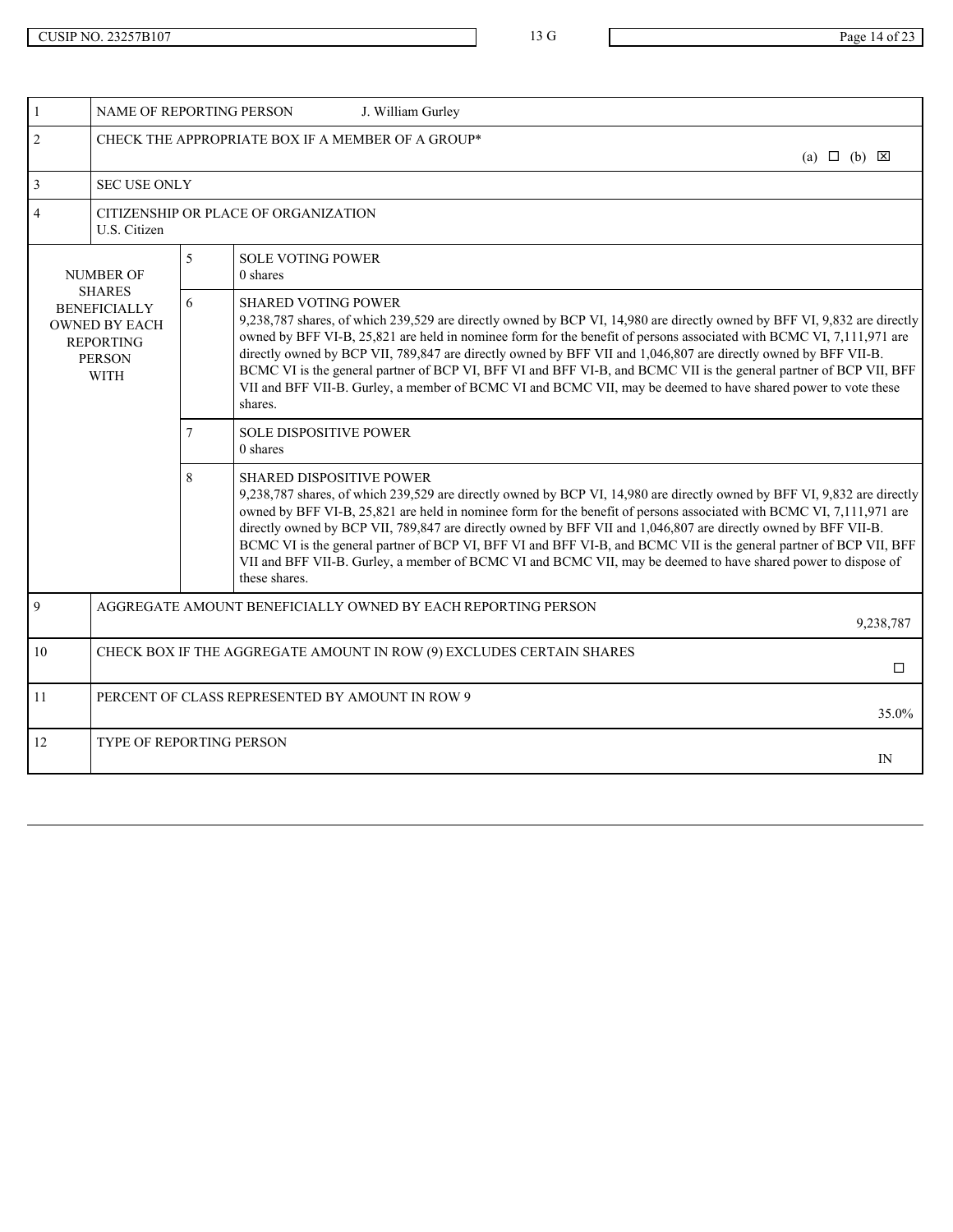|                | NAME OF REPORTING PERSON<br>J. William Gurley                                                                    |   |                                                                                                                                                                                                                                                                                                                                                                                                                                                                                                                                                                                                                                                                |                            |  |  |
|----------------|------------------------------------------------------------------------------------------------------------------|---|----------------------------------------------------------------------------------------------------------------------------------------------------------------------------------------------------------------------------------------------------------------------------------------------------------------------------------------------------------------------------------------------------------------------------------------------------------------------------------------------------------------------------------------------------------------------------------------------------------------------------------------------------------------|----------------------------|--|--|
| $\overline{2}$ |                                                                                                                  |   | CHECK THE APPROPRIATE BOX IF A MEMBER OF A GROUP*                                                                                                                                                                                                                                                                                                                                                                                                                                                                                                                                                                                                              | (a) $\Box$ (b) $\boxtimes$ |  |  |
| $\mathbf{3}$   | <b>SEC USE ONLY</b>                                                                                              |   |                                                                                                                                                                                                                                                                                                                                                                                                                                                                                                                                                                                                                                                                |                            |  |  |
| $\overline{A}$ | CITIZENSHIP OR PLACE OF ORGANIZATION<br>U.S. Citizen                                                             |   |                                                                                                                                                                                                                                                                                                                                                                                                                                                                                                                                                                                                                                                                |                            |  |  |
|                | <b>NUMBER OF</b>                                                                                                 | 5 | <b>SOLE VOTING POWER</b><br>0 shares                                                                                                                                                                                                                                                                                                                                                                                                                                                                                                                                                                                                                           |                            |  |  |
|                | <b>SHARES</b><br><b>BENEFICIALLY</b><br><b>OWNED BY EACH</b><br><b>REPORTING</b><br><b>PERSON</b><br><b>WITH</b> | 6 | <b>SHARED VOTING POWER</b><br>9,238,787 shares, of which 239,529 are directly owned by BCP VI, 14,980 are directly owned by BFF VI, 9,832 are directly<br>owned by BFF VI-B, 25,821 are held in nominee form for the benefit of persons associated with BCMC VI, 7,111,971 are<br>directly owned by BCP VII, 789,847 are directly owned by BFF VII and 1,046,807 are directly owned by BFF VII-B.<br>BCMC VI is the general partner of BCP VI, BFF VI and BFF VI-B, and BCMC VII is the general partner of BCP VII, BFF<br>VII and BFF VII-B. Gurley, a member of BCMC VI and BCMC VII, may be deemed to have shared power to vote these<br>shares.            |                            |  |  |
|                |                                                                                                                  |   | <b>SOLE DISPOSITIVE POWER</b><br>0 shares                                                                                                                                                                                                                                                                                                                                                                                                                                                                                                                                                                                                                      |                            |  |  |
|                |                                                                                                                  | 8 | <b>SHARED DISPOSITIVE POWER</b><br>9,238,787 shares, of which 239,529 are directly owned by BCP VI, 14,980 are directly owned by BFF VI, 9,832 are directly<br>owned by BFF VI-B, 25,821 are held in nominee form for the benefit of persons associated with BCMC VI, 7,111,971 are<br>directly owned by BCP VII, 789,847 are directly owned by BFF VII and 1,046,807 are directly owned by BFF VII-B.<br>BCMC VI is the general partner of BCP VI, BFF VI and BFF VI-B, and BCMC VII is the general partner of BCP VII, BFF<br>VII and BFF VII-B. Gurley, a member of BCMC VI and BCMC VII, may be deemed to have shared power to dispose of<br>these shares. |                            |  |  |
| 9              | AGGREGATE AMOUNT BENEFICIALLY OWNED BY EACH REPORTING PERSON                                                     |   |                                                                                                                                                                                                                                                                                                                                                                                                                                                                                                                                                                                                                                                                | 9,238,787                  |  |  |
| 10             | CHECK BOX IF THE AGGREGATE AMOUNT IN ROW (9) EXCLUDES CERTAIN SHARES                                             |   |                                                                                                                                                                                                                                                                                                                                                                                                                                                                                                                                                                                                                                                                |                            |  |  |
| 11             | PERCENT OF CLASS REPRESENTED BY AMOUNT IN ROW 9<br>35.0%                                                         |   |                                                                                                                                                                                                                                                                                                                                                                                                                                                                                                                                                                                                                                                                |                            |  |  |
| 12             | TYPE OF REPORTING PERSON                                                                                         |   |                                                                                                                                                                                                                                                                                                                                                                                                                                                                                                                                                                                                                                                                | IN                         |  |  |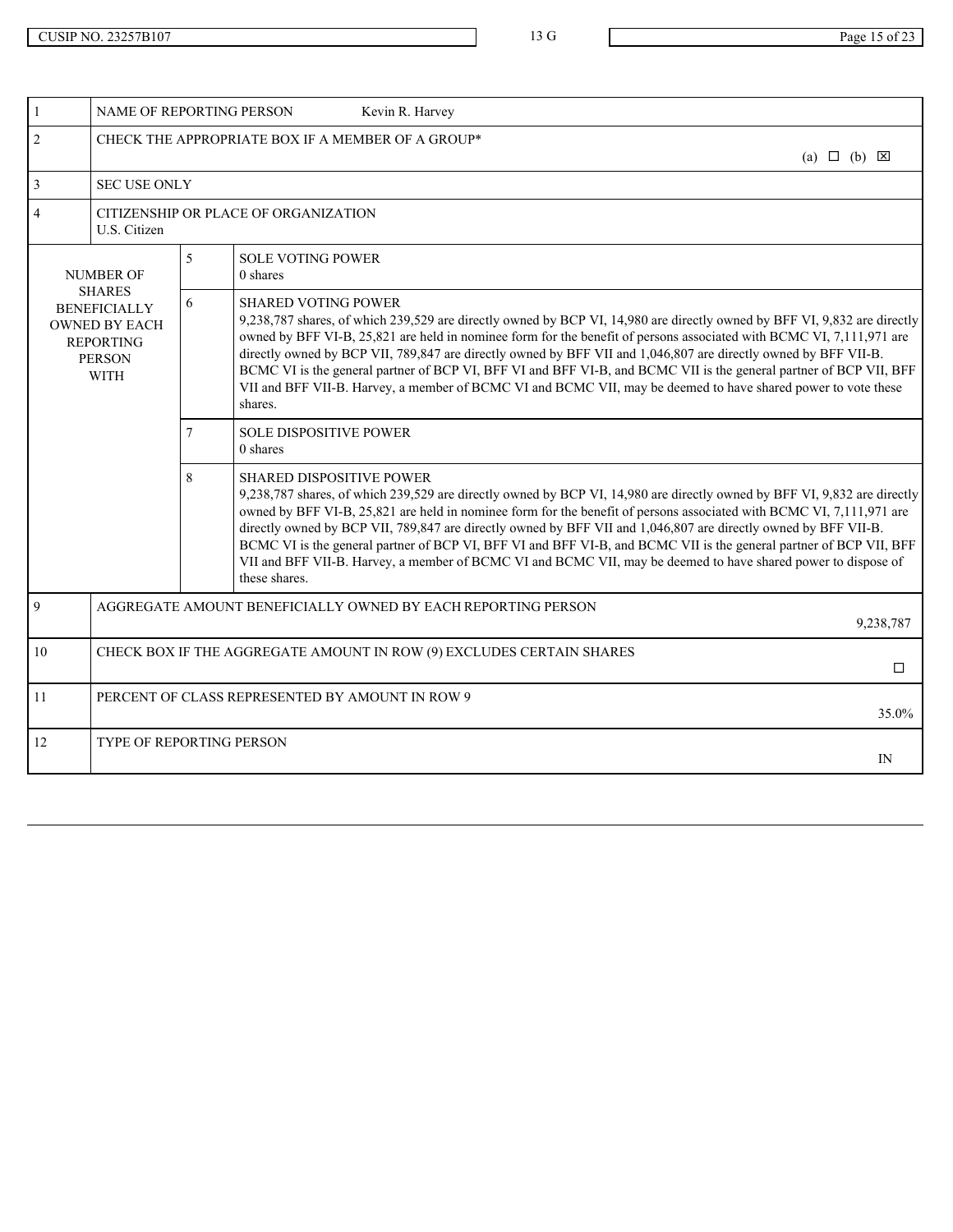|                | NAME OF REPORTING PERSON<br>Kevin R. Harvey                                                                      |                                                                           |                                                                                                                                                                                                                                                                                                                                                                                                                                                                                                                                                                                                                                                                |  |  |
|----------------|------------------------------------------------------------------------------------------------------------------|---------------------------------------------------------------------------|----------------------------------------------------------------------------------------------------------------------------------------------------------------------------------------------------------------------------------------------------------------------------------------------------------------------------------------------------------------------------------------------------------------------------------------------------------------------------------------------------------------------------------------------------------------------------------------------------------------------------------------------------------------|--|--|
| $\mathfrak{D}$ | CHECK THE APPROPRIATE BOX IF A MEMBER OF A GROUP*<br>(a) $\Box$ (b) $\boxtimes$                                  |                                                                           |                                                                                                                                                                                                                                                                                                                                                                                                                                                                                                                                                                                                                                                                |  |  |
|                | <b>SEC USE ONLY</b>                                                                                              |                                                                           |                                                                                                                                                                                                                                                                                                                                                                                                                                                                                                                                                                                                                                                                |  |  |
|                | CITIZENSHIP OR PLACE OF ORGANIZATION<br>U.S. Citizen                                                             |                                                                           |                                                                                                                                                                                                                                                                                                                                                                                                                                                                                                                                                                                                                                                                |  |  |
|                | <b>NUMBER OF</b>                                                                                                 | 5                                                                         | <b>SOLE VOTING POWER</b><br>0 shares                                                                                                                                                                                                                                                                                                                                                                                                                                                                                                                                                                                                                           |  |  |
|                | <b>SHARES</b><br><b>BENEFICIALLY</b><br><b>OWNED BY EACH</b><br><b>REPORTING</b><br><b>PERSON</b><br><b>WITH</b> | 6                                                                         | <b>SHARED VOTING POWER</b><br>9,238,787 shares, of which 239,529 are directly owned by BCP VI, 14,980 are directly owned by BFF VI, 9,832 are directly<br>owned by BFF VI-B, 25,821 are held in nominee form for the benefit of persons associated with BCMC VI, 7,111,971 are<br>directly owned by BCP VII, 789,847 are directly owned by BFF VII and 1,046,807 are directly owned by BFF VII-B.<br>BCMC VI is the general partner of BCP VI, BFF VI and BFF VI-B, and BCMC VII is the general partner of BCP VII, BFF<br>VII and BFF VII-B. Harvey, a member of BCMC VI and BCMC VII, may be deemed to have shared power to vote these<br>shares.            |  |  |
|                |                                                                                                                  |                                                                           | <b>SOLE DISPOSITIVE POWER</b><br>0 shares                                                                                                                                                                                                                                                                                                                                                                                                                                                                                                                                                                                                                      |  |  |
|                |                                                                                                                  | 8                                                                         | <b>SHARED DISPOSITIVE POWER</b><br>9,238,787 shares, of which 239,529 are directly owned by BCP VI, 14,980 are directly owned by BFF VI, 9,832 are directly<br>owned by BFF VI-B, 25,821 are held in nominee form for the benefit of persons associated with BCMC VI, 7,111,971 are<br>directly owned by BCP VII, 789,847 are directly owned by BFF VII and 1,046,807 are directly owned by BFF VII-B.<br>BCMC VI is the general partner of BCP VI, BFF VI and BFF VI-B, and BCMC VII is the general partner of BCP VII, BFF<br>VII and BFF VII-B. Harvey, a member of BCMC VI and BCMC VII, may be deemed to have shared power to dispose of<br>these shares. |  |  |
| $\mathbf Q$    |                                                                                                                  | AGGREGATE AMOUNT BENEFICIALLY OWNED BY EACH REPORTING PERSON<br>9,238,787 |                                                                                                                                                                                                                                                                                                                                                                                                                                                                                                                                                                                                                                                                |  |  |
| 10             | CHECK BOX IF THE AGGREGATE AMOUNT IN ROW (9) EXCLUDES CERTAIN SHARES                                             |                                                                           |                                                                                                                                                                                                                                                                                                                                                                                                                                                                                                                                                                                                                                                                |  |  |
| 11             | PERCENT OF CLASS REPRESENTED BY AMOUNT IN ROW 9                                                                  |                                                                           |                                                                                                                                                                                                                                                                                                                                                                                                                                                                                                                                                                                                                                                                |  |  |
| 12             | TYPE OF REPORTING PERSON                                                                                         |                                                                           |                                                                                                                                                                                                                                                                                                                                                                                                                                                                                                                                                                                                                                                                |  |  |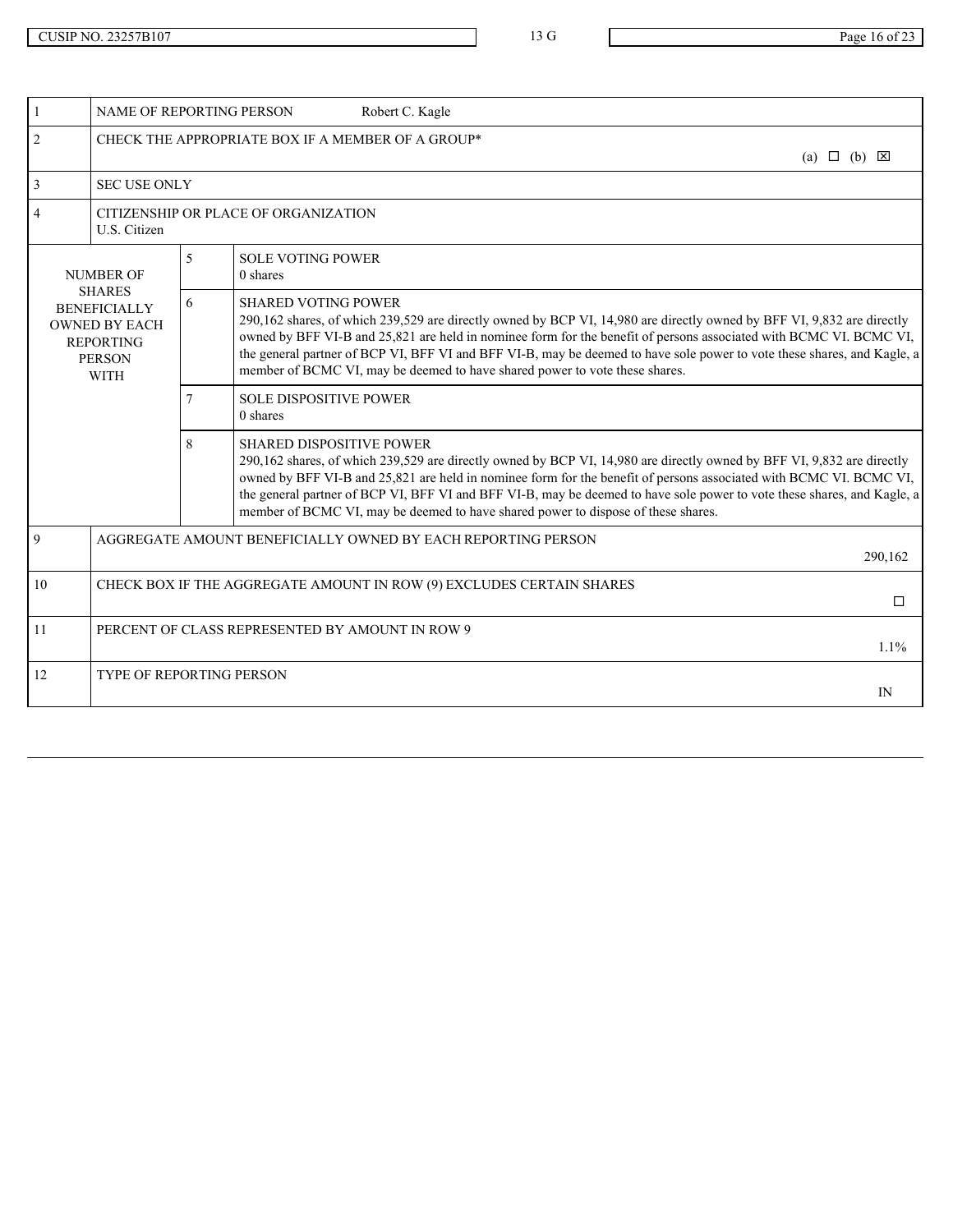| NAME OF REPORTING PERSON                                                                                         |                | Robert C. Kagle                                                                                                                                                                                                                                                                                                                                                                                                                                                                                 |                            |  |
|------------------------------------------------------------------------------------------------------------------|----------------|-------------------------------------------------------------------------------------------------------------------------------------------------------------------------------------------------------------------------------------------------------------------------------------------------------------------------------------------------------------------------------------------------------------------------------------------------------------------------------------------------|----------------------------|--|
| 2                                                                                                                |                | CHECK THE APPROPRIATE BOX IF A MEMBER OF A GROUP*                                                                                                                                                                                                                                                                                                                                                                                                                                               | (a) $\Box$ (b) $\boxtimes$ |  |
| $\overline{3}$<br><b>SEC USE ONLY</b>                                                                            |                |                                                                                                                                                                                                                                                                                                                                                                                                                                                                                                 |                            |  |
| U.S. Citizen                                                                                                     |                | CITIZENSHIP OR PLACE OF ORGANIZATION                                                                                                                                                                                                                                                                                                                                                                                                                                                            |                            |  |
| <b>NUMBER OF</b>                                                                                                 | 5 <sup>1</sup> | <b>SOLE VOTING POWER</b><br>0 shares                                                                                                                                                                                                                                                                                                                                                                                                                                                            |                            |  |
| <b>SHARES</b><br><b>BENEFICIALLY</b><br><b>OWNED BY EACH</b><br><b>REPORTING</b><br><b>PERSON</b><br><b>WITH</b> | 6              | <b>SHARED VOTING POWER</b><br>290,162 shares, of which 239,529 are directly owned by BCP VI, 14,980 are directly owned by BFF VI, 9,832 are directly<br>owned by BFF VI-B and 25,821 are held in nominee form for the benefit of persons associated with BCMC VI. BCMC VI,<br>the general partner of BCP VI, BFF VI and BFF VI-B, may be deemed to have sole power to vote these shares, and Kagle, a<br>member of BCMC VI, may be deemed to have shared power to vote these shares.            |                            |  |
|                                                                                                                  |                | <b>SOLE DISPOSITIVE POWER</b><br>0 shares                                                                                                                                                                                                                                                                                                                                                                                                                                                       |                            |  |
|                                                                                                                  | 8              | <b>SHARED DISPOSITIVE POWER</b><br>290,162 shares, of which 239,529 are directly owned by BCP VI, 14,980 are directly owned by BFF VI, 9,832 are directly<br>owned by BFF VI-B and 25,821 are held in nominee form for the benefit of persons associated with BCMC VI. BCMC VI,<br>the general partner of BCP VI, BFF VI and BFF VI-B, may be deemed to have sole power to vote these shares, and Kagle, a<br>member of BCMC VI, may be deemed to have shared power to dispose of these shares. |                            |  |
| 9                                                                                                                |                | AGGREGATE AMOUNT BENEFICIALLY OWNED BY EACH REPORTING PERSON                                                                                                                                                                                                                                                                                                                                                                                                                                    | 290,162                    |  |
| 10                                                                                                               |                | CHECK BOX IF THE AGGREGATE AMOUNT IN ROW (9) EXCLUDES CERTAIN SHARES                                                                                                                                                                                                                                                                                                                                                                                                                            | $\Box$                     |  |
| 11                                                                                                               |                | PERCENT OF CLASS REPRESENTED BY AMOUNT IN ROW 9                                                                                                                                                                                                                                                                                                                                                                                                                                                 | $1.1\%$                    |  |
| 12<br><b>TYPE OF REPORTING PERSON</b><br>IN                                                                      |                |                                                                                                                                                                                                                                                                                                                                                                                                                                                                                                 |                            |  |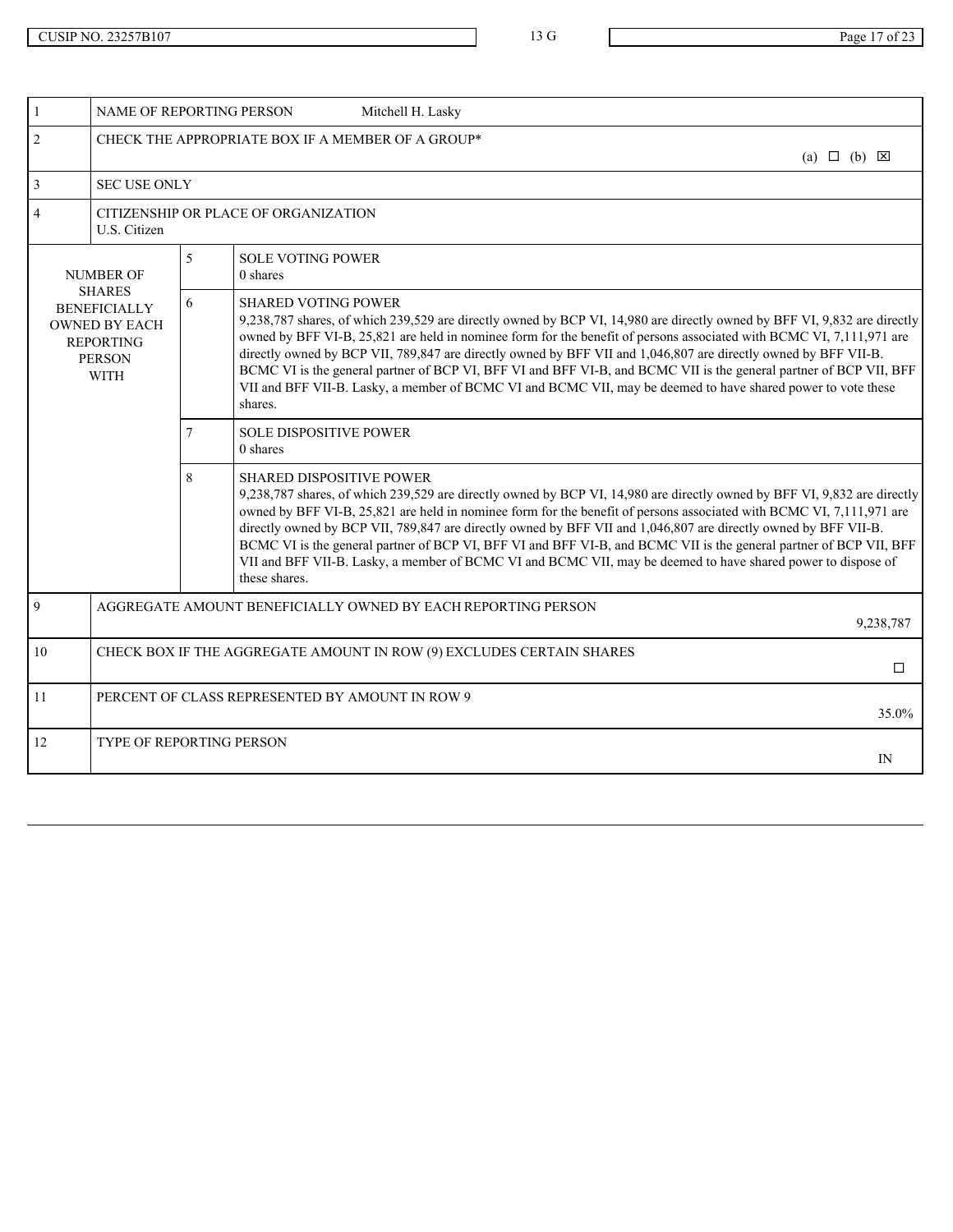|                | NAME OF REPORTING PERSON<br>Mitchell H. Lasky                                                                    |                          |                                                                                                                                                                                                                                                                                                                                                                                                                                                                                                                                                                                                                                                               |    |  |  |
|----------------|------------------------------------------------------------------------------------------------------------------|--------------------------|---------------------------------------------------------------------------------------------------------------------------------------------------------------------------------------------------------------------------------------------------------------------------------------------------------------------------------------------------------------------------------------------------------------------------------------------------------------------------------------------------------------------------------------------------------------------------------------------------------------------------------------------------------------|----|--|--|
| 2              | CHECK THE APPROPRIATE BOX IF A MEMBER OF A GROUP*                                                                |                          |                                                                                                                                                                                                                                                                                                                                                                                                                                                                                                                                                                                                                                                               |    |  |  |
| 3              | <b>SEC USE ONLY</b>                                                                                              |                          |                                                                                                                                                                                                                                                                                                                                                                                                                                                                                                                                                                                                                                                               |    |  |  |
| $\overline{4}$ | CITIZENSHIP OR PLACE OF ORGANIZATION<br>U.S. Citizen                                                             |                          |                                                                                                                                                                                                                                                                                                                                                                                                                                                                                                                                                                                                                                                               |    |  |  |
|                | <b>NUMBER OF</b>                                                                                                 | $\overline{\mathcal{L}}$ | <b>SOLE VOTING POWER</b><br>0 shares                                                                                                                                                                                                                                                                                                                                                                                                                                                                                                                                                                                                                          |    |  |  |
|                | <b>SHARES</b><br><b>BENEFICIALLY</b><br><b>OWNED BY EACH</b><br><b>REPORTING</b><br><b>PERSON</b><br><b>WITH</b> | 6                        | <b>SHARED VOTING POWER</b><br>9,238,787 shares, of which 239,529 are directly owned by BCP VI, 14,980 are directly owned by BFF VI, 9,832 are directly<br>owned by BFF VI-B, 25,821 are held in nominee form for the benefit of persons associated with BCMC VI, 7,111,971 are<br>directly owned by BCP VII, 789,847 are directly owned by BFF VII and 1,046,807 are directly owned by BFF VII-B.<br>BCMC VI is the general partner of BCP VI, BFF VI and BFF VI-B, and BCMC VII is the general partner of BCP VII, BFF<br>VII and BFF VII-B. Lasky, a member of BCMC VI and BCMC VII, may be deemed to have shared power to vote these<br>shares.            |    |  |  |
|                |                                                                                                                  |                          | <b>SOLE DISPOSITIVE POWER</b><br>0 shares                                                                                                                                                                                                                                                                                                                                                                                                                                                                                                                                                                                                                     |    |  |  |
|                |                                                                                                                  | 8                        | <b>SHARED DISPOSITIVE POWER</b><br>9,238,787 shares, of which 239,529 are directly owned by BCP VI, 14,980 are directly owned by BFF VI, 9,832 are directly<br>owned by BFF VI-B, 25,821 are held in nominee form for the benefit of persons associated with BCMC VI, 7,111,971 are<br>directly owned by BCP VII, 789,847 are directly owned by BFF VII and 1,046,807 are directly owned by BFF VII-B.<br>BCMC VI is the general partner of BCP VI, BFF VI and BFF VI-B, and BCMC VII is the general partner of BCP VII, BFF<br>VII and BFF VII-B. Lasky, a member of BCMC VI and BCMC VII, may be deemed to have shared power to dispose of<br>these shares. |    |  |  |
| $\overline{Q}$ | AGGREGATE AMOUNT BENEFICIALLY OWNED BY EACH REPORTING PERSON                                                     | 9,238,787                |                                                                                                                                                                                                                                                                                                                                                                                                                                                                                                                                                                                                                                                               |    |  |  |
| 10             | CHECK BOX IF THE AGGREGATE AMOUNT IN ROW (9) EXCLUDES CERTAIN SHARES                                             |                          |                                                                                                                                                                                                                                                                                                                                                                                                                                                                                                                                                                                                                                                               |    |  |  |
| 11             | PERCENT OF CLASS REPRESENTED BY AMOUNT IN ROW 9                                                                  |                          |                                                                                                                                                                                                                                                                                                                                                                                                                                                                                                                                                                                                                                                               |    |  |  |
| 12             | TYPE OF REPORTING PERSON                                                                                         |                          |                                                                                                                                                                                                                                                                                                                                                                                                                                                                                                                                                                                                                                                               | IN |  |  |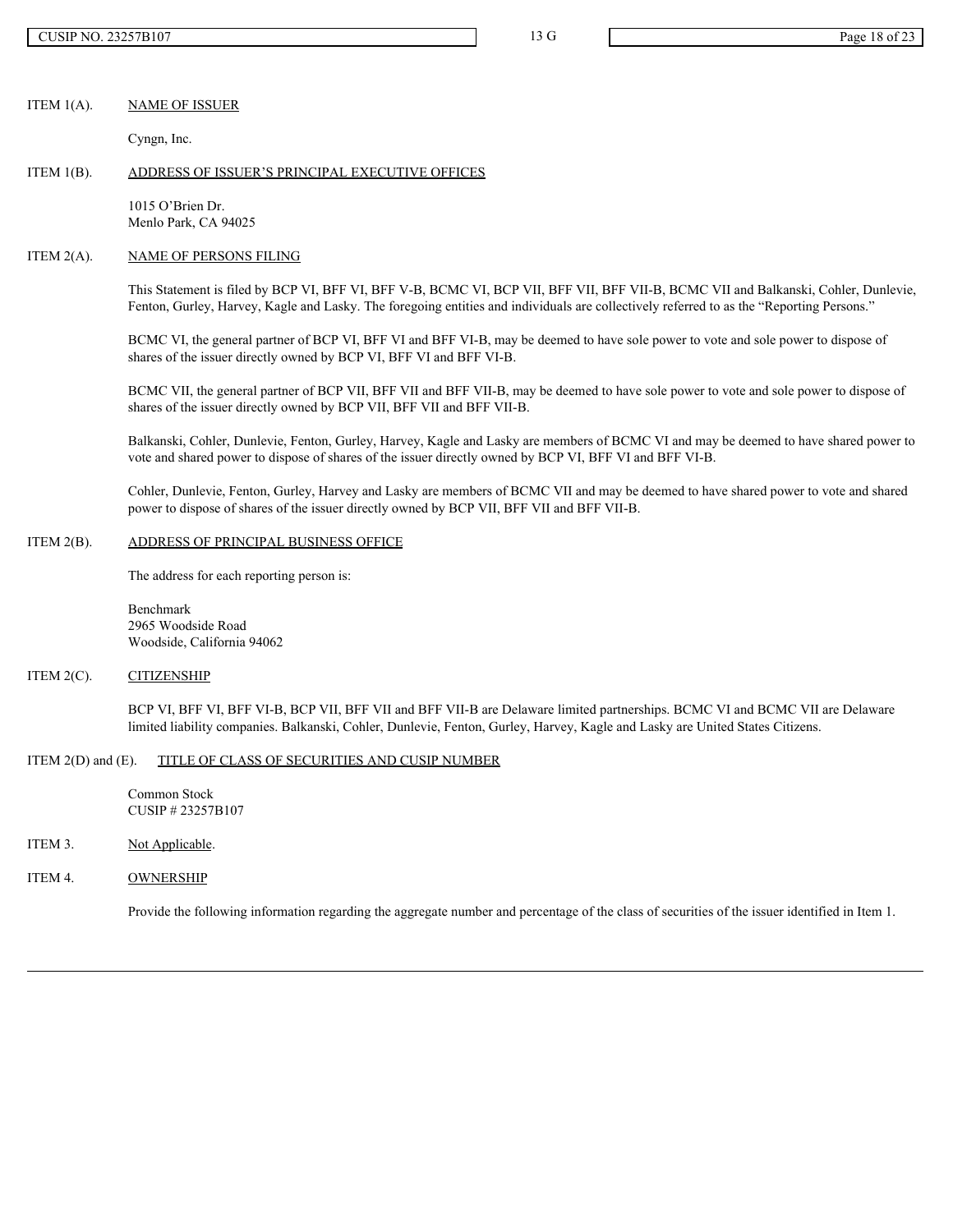### ITEM 1(A). NAME OF ISSUER

Cyngn, Inc.

### ITEM 1(B). ADDRESS OF ISSUER'S PRINCIPAL EXECUTIVE OFFICES

1015 O'Brien Dr. Menlo Park, CA 94025

#### ITEM 2(A). NAME OF PERSONS FILING

This Statement is filed by BCP VI, BFF VI, BFF V-B, BCMC VI, BCP VII, BFF VII, BFF VII-B, BCMC VII and Balkanski, Cohler, Dunlevie, Fenton, Gurley, Harvey, Kagle and Lasky. The foregoing entities and individuals are collectively referred to as the "Reporting Persons."

BCMC VI, the general partner of BCP VI, BFF VI and BFF VI-B, may be deemed to have sole power to vote and sole power to dispose of shares of the issuer directly owned by BCP VI, BFF VI and BFF VI-B.

BCMC VII, the general partner of BCP VII, BFF VII and BFF VII-B, may be deemed to have sole power to vote and sole power to dispose of shares of the issuer directly owned by BCP VII, BFF VII and BFF VII-B.

Balkanski, Cohler, Dunlevie, Fenton, Gurley, Harvey, Kagle and Lasky are members of BCMC VI and may be deemed to have shared power to vote and shared power to dispose of shares of the issuer directly owned by BCP VI, BFF VI and BFF VI-B.

Cohler, Dunlevie, Fenton, Gurley, Harvey and Lasky are members of BCMC VII and may be deemed to have shared power to vote and shared power to dispose of shares of the issuer directly owned by BCP VII, BFF VII and BFF VII-B.

### ITEM 2(B). ADDRESS OF PRINCIPAL BUSINESS OFFICE

The address for each reporting person is:

Benchmark 2965 Woodside Road Woodside, California 94062

### ITEM 2(C). CITIZENSHIP

BCP VI, BFF VI, BFF VI-B, BCP VII, BFF VII and BFF VII-B are Delaware limited partnerships. BCMC VI and BCMC VII are Delaware limited liability companies. Balkanski, Cohler, Dunlevie, Fenton, Gurley, Harvey, Kagle and Lasky are United States Citizens.

### ITEM 2(D) and (E). TITLE OF CLASS OF SECURITIES AND CUSIP NUMBER

Common Stock CUSIP # 23257B107

# ITEM 3. Not Applicable.

ITEM 4. OWNERSHIP

Provide the following information regarding the aggregate number and percentage of the class of securities of the issuer identified in Item 1.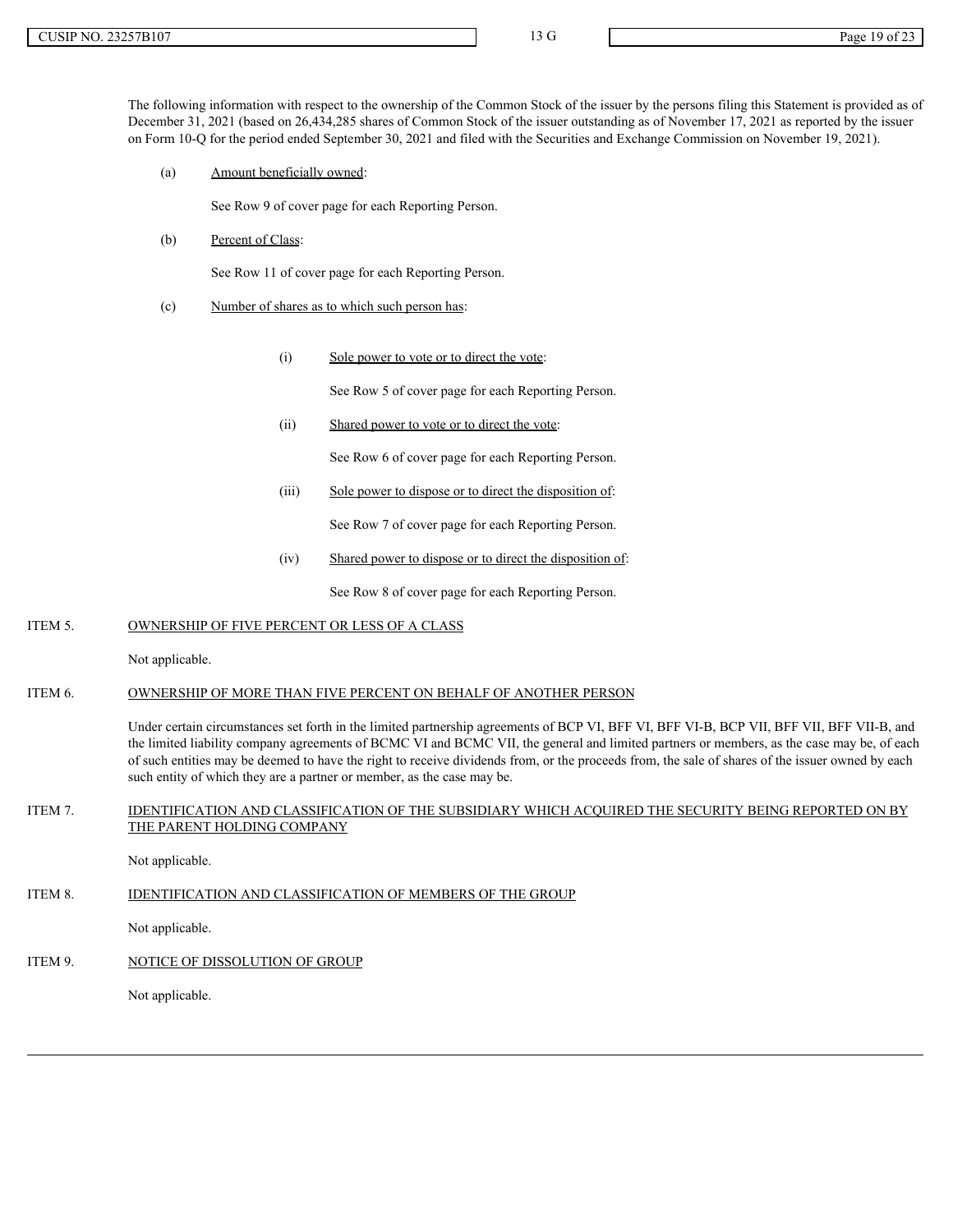The following information with respect to the ownership of the Common Stock of the issuer by the persons filing this Statement is provided as of December 31, 2021 (based on 26,434,285 shares of Common Stock of the issuer outstanding as of November 17, 2021 as reported by the issuer on Form 10-Q for the period ended September 30, 2021 and filed with the Securities and Exchange Commission on November 19, 2021).

(a) Amount beneficially owned:

See Row 9 of cover page for each Reporting Person.

(b) Percent of Class:

See Row 11 of cover page for each Reporting Person.

- (c) Number of shares as to which such person has:
	- (i) Sole power to vote or to direct the vote:

See Row 5 of cover page for each Reporting Person.

(ii) Shared power to vote or to direct the vote:

See Row 6 of cover page for each Reporting Person.

(iii) Sole power to dispose or to direct the disposition of:

See Row 7 of cover page for each Reporting Person.

(iv) Shared power to dispose or to direct the disposition of:

See Row 8 of cover page for each Reporting Person.

# ITEM 5. OWNERSHIP OF FIVE PERCENT OR LESS OF A CLASS

Not applicable.

# ITEM 6. OWNERSHIP OF MORE THAN FIVE PERCENT ON BEHALF OF ANOTHER PERSON

Under certain circumstances set forth in the limited partnership agreements of BCP VI, BFF VI, BFF VI-B, BCP VII, BFF VII, BFF VII-B, and the limited liability company agreements of BCMC VI and BCMC VII, the general and limited partners or members, as the case may be, of each of such entities may be deemed to have the right to receive dividends from, or the proceeds from, the sale of shares of the issuer owned by each such entity of which they are a partner or member, as the case may be.

## ITEM 7. IDENTIFICATION AND CLASSIFICATION OF THE SUBSIDIARY WHICH ACQUIRED THE SECURITY BEING REPORTED ON BY THE PARENT HOLDING COMPANY

Not applicable.

#### ITEM 8. IDENTIFICATION AND CLASSIFICATION OF MEMBERS OF THE GROUP

Not applicable.

ITEM 9. NOTICE OF DISSOLUTION OF GROUP

Not applicable.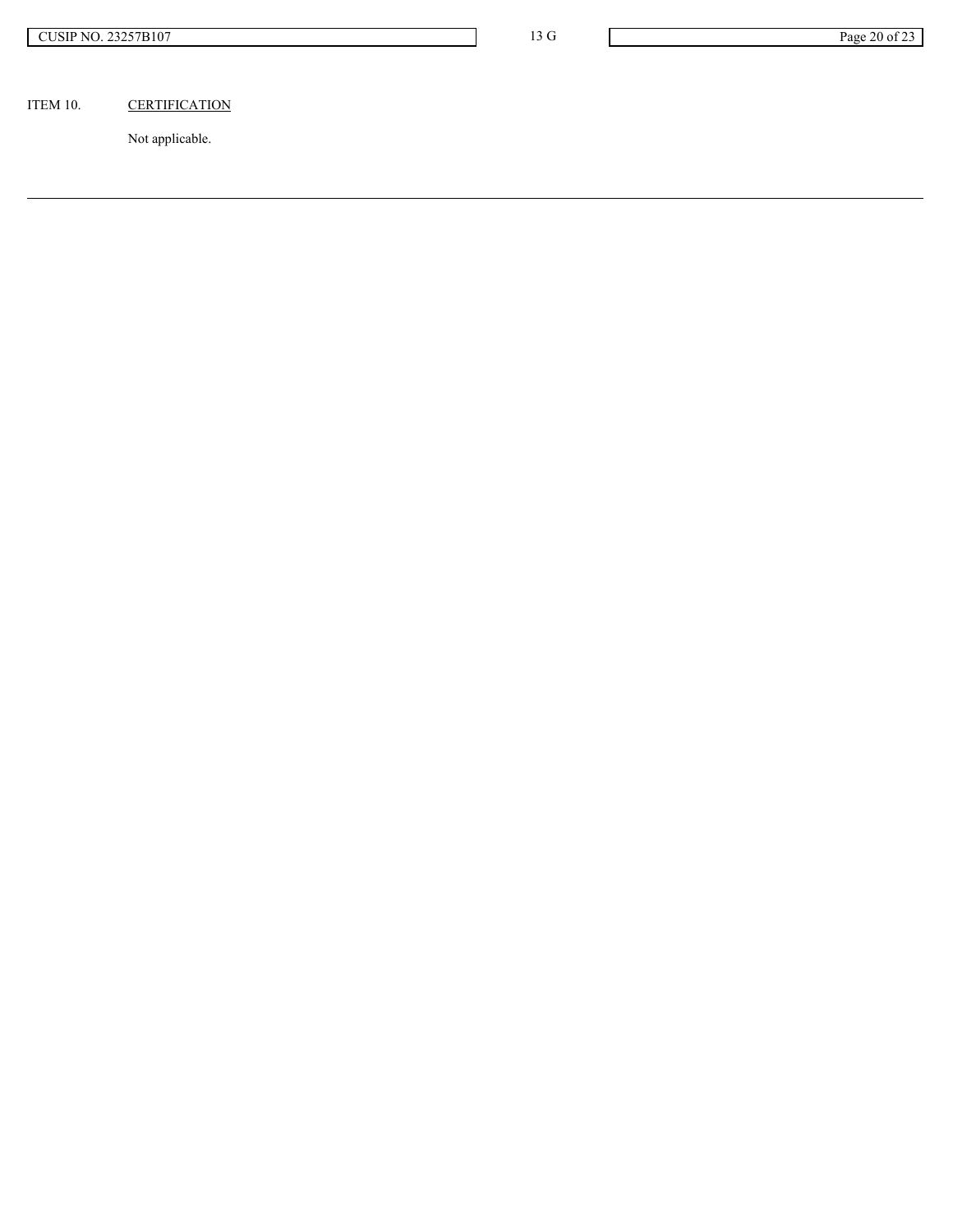# ITEM 10. CERTIFICATION

Not applicable.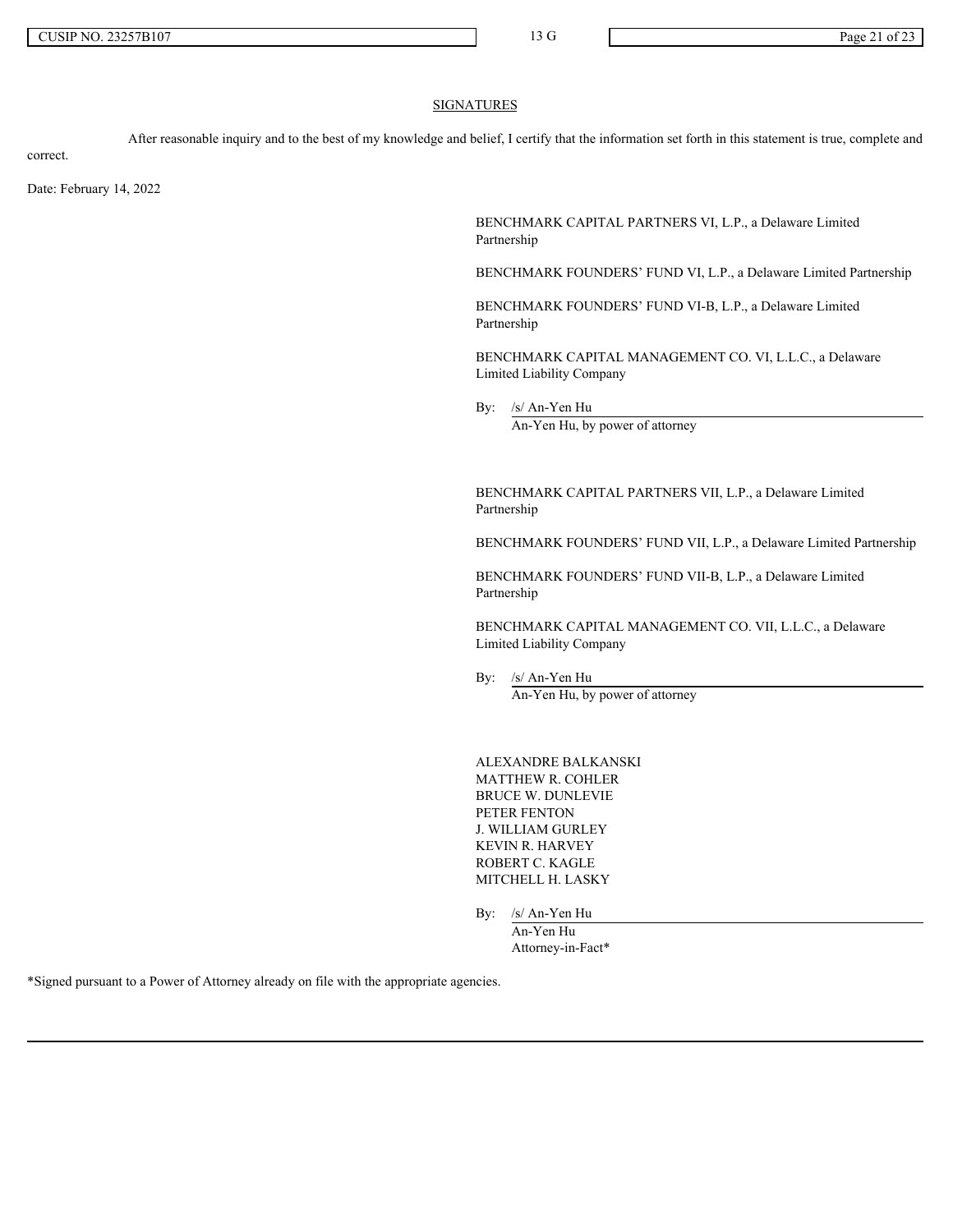### **SIGNATURES**

After reasonable inquiry and to the best of my knowledge and belief, I certify that the information set forth in this statement is true, complete and

correct.

Date: February 14, 2022

BENCHMARK CAPITAL PARTNERS VI, L.P., a Delaware Limited Partnership

BENCHMARK FOUNDERS' FUND VI, L.P., a Delaware Limited Partnership

BENCHMARK FOUNDERS' FUND VI-B, L.P., a Delaware Limited Partnership

BENCHMARK CAPITAL MANAGEMENT CO. VI, L.L.C., a Delaware Limited Liability Company

By: /s/ An-Yen Hu An-Yen Hu, by power of attorney

BENCHMARK CAPITAL PARTNERS VII, L.P., a Delaware Limited Partnership

BENCHMARK FOUNDERS' FUND VII, L.P., a Delaware Limited Partnership

BENCHMARK FOUNDERS' FUND VII-B, L.P., a Delaware Limited Partnership

BENCHMARK CAPITAL MANAGEMENT CO. VII, L.L.C., a Delaware Limited Liability Company

By: /s/ An-Yen Hu An-Yen Hu, by power of attorney

ALEXANDRE BALKANSKI MATTHEW R. COHLER BRUCE W. DUNLEVIE PETER FENTON J. WILLIAM GURLEY KEVIN R. HARVEY ROBERT C. KAGLE MITCHELL H. LASKY

By: /s/ An-Yen Hu

An-Yen Hu Attorney-in-Fact\*

\*Signed pursuant to a Power of Attorney already on file with the appropriate agencies.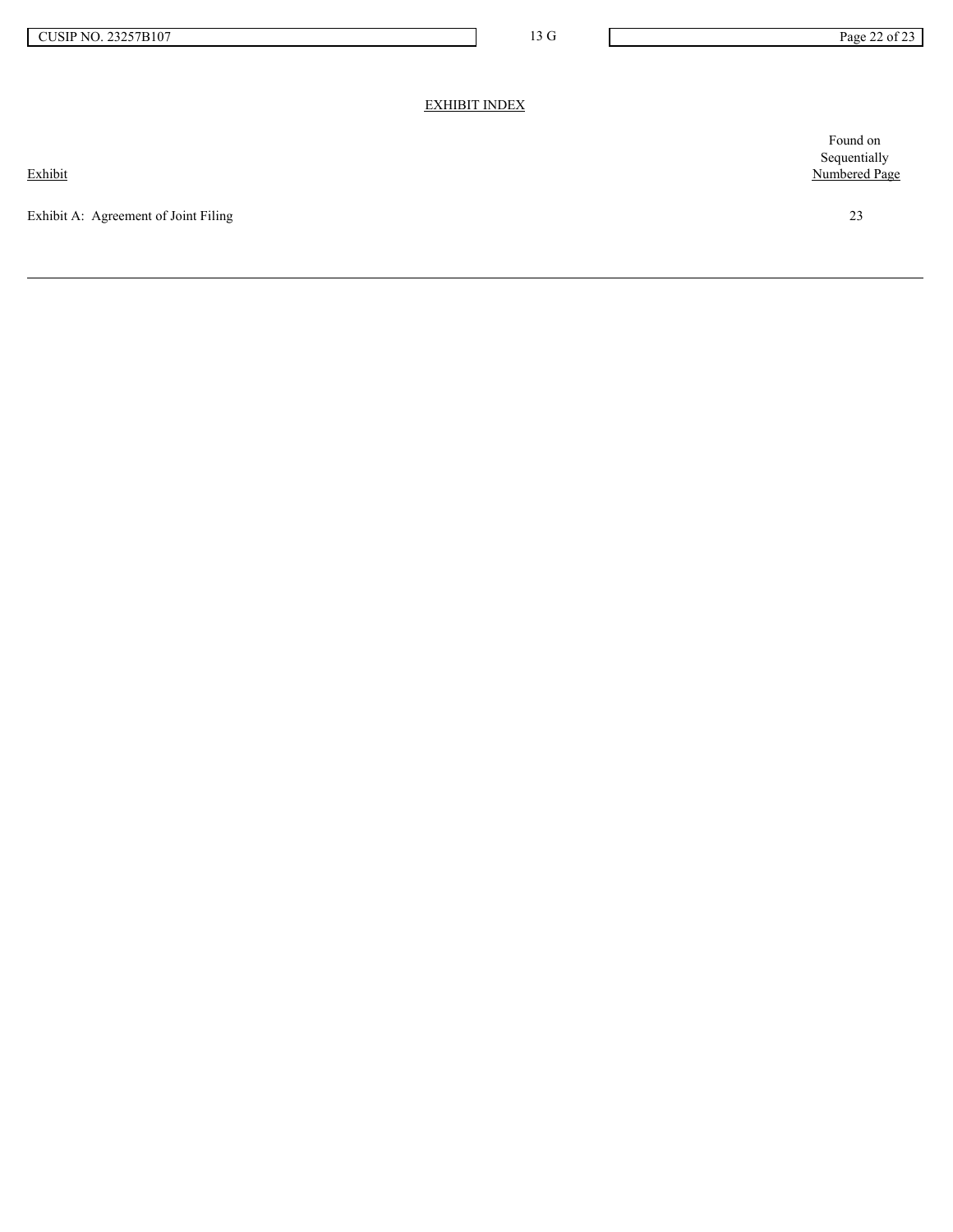# EXHIBIT INDEX

Exhibit

Exhibit A: Agreement of Joint Filing 23

Found on Sequentially Numbered Page